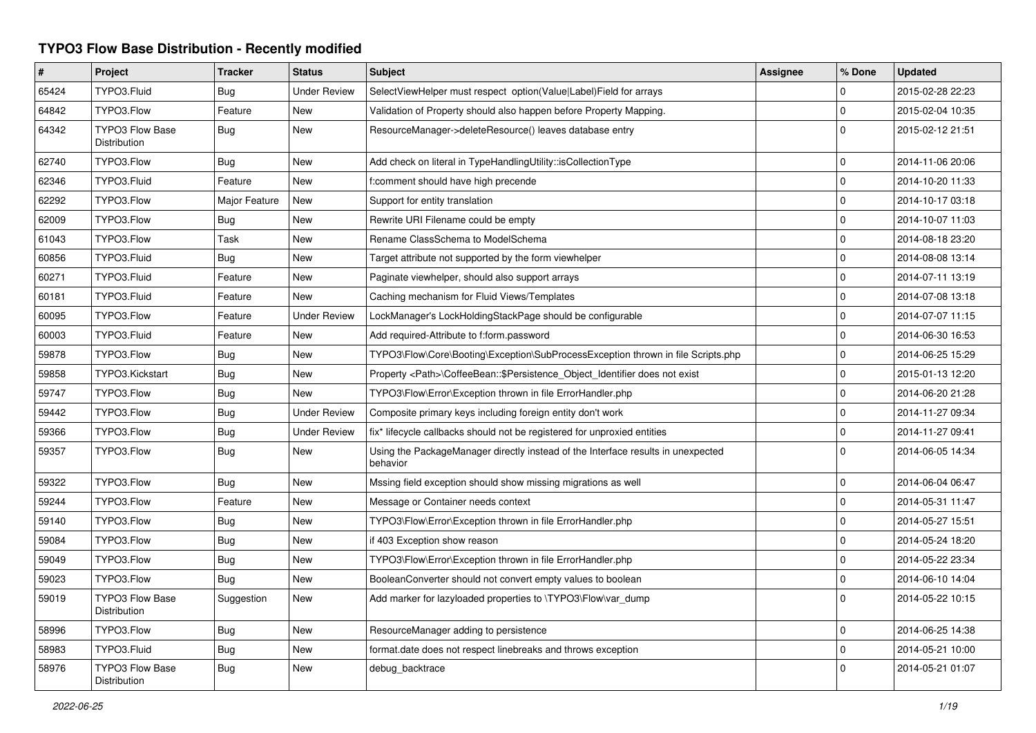## **TYPO3 Flow Base Distribution - Recently modified**

| #     | Project                                | <b>Tracker</b> | <b>Status</b>       | <b>Subject</b>                                                                               | Assignee | % Done      | <b>Updated</b>   |
|-------|----------------------------------------|----------------|---------------------|----------------------------------------------------------------------------------------------|----------|-------------|------------------|
| 65424 | TYPO3.Fluid                            | Bug            | <b>Under Review</b> | SelectViewHelper must respect option(Value Label)Field for arrays                            |          | 0           | 2015-02-28 22:23 |
| 64842 | TYPO3.Flow                             | Feature        | New                 | Validation of Property should also happen before Property Mapping.                           |          | $\mathbf 0$ | 2015-02-04 10:35 |
| 64342 | <b>TYPO3 Flow Base</b><br>Distribution | Bug            | New                 | ResourceManager->deleteResource() leaves database entry                                      |          | $\Omega$    | 2015-02-12 21:51 |
| 62740 | TYPO3.Flow                             | Bug            | <b>New</b>          | Add check on literal in TypeHandlingUtility::isCollectionType                                |          | $\Omega$    | 2014-11-06 20:06 |
| 62346 | TYPO3.Fluid                            | Feature        | <b>New</b>          | f:comment should have high precende                                                          |          | $\Omega$    | 2014-10-20 11:33 |
| 62292 | TYPO3.Flow                             | Major Feature  | New                 | Support for entity translation                                                               |          | $\mathbf 0$ | 2014-10-17 03:18 |
| 62009 | TYPO3.Flow                             | Bug            | New                 | Rewrite URI Filename could be empty                                                          |          | $\mathbf 0$ | 2014-10-07 11:03 |
| 61043 | TYPO3.Flow                             | Task           | New                 | Rename ClassSchema to ModelSchema                                                            |          | $\mathbf 0$ | 2014-08-18 23:20 |
| 60856 | TYPO3.Fluid                            | Bug            | New                 | Target attribute not supported by the form viewhelper                                        |          | $\Omega$    | 2014-08-08 13:14 |
| 60271 | TYPO3.Fluid                            | Feature        | <b>New</b>          | Paginate viewhelper, should also support arrays                                              |          | $\Omega$    | 2014-07-11 13:19 |
| 60181 | TYPO3.Fluid                            | Feature        | New                 | Caching mechanism for Fluid Views/Templates                                                  |          | $\mathbf 0$ | 2014-07-08 13:18 |
| 60095 | TYPO3.Flow                             | Feature        | <b>Under Review</b> | LockManager's LockHoldingStackPage should be configurable                                    |          | $\mathbf 0$ | 2014-07-07 11:15 |
| 60003 | TYPO3.Fluid                            | Feature        | New                 | Add required-Attribute to f:form.password                                                    |          | $\mathbf 0$ | 2014-06-30 16:53 |
| 59878 | TYPO3.Flow                             | Bug            | New                 | TYPO3\Flow\Core\Booting\Exception\SubProcessException thrown in file Scripts.php             |          | $\mathbf 0$ | 2014-06-25 15:29 |
| 59858 | TYPO3.Kickstart                        | Bug            | New                 | Property <path>\CoffeeBean::\$Persistence Object Identifier does not exist</path>            |          | $\mathbf 0$ | 2015-01-13 12:20 |
| 59747 | TYPO3.Flow                             | Bug            | <b>New</b>          | TYPO3\Flow\Error\Exception thrown in file ErrorHandler.php                                   |          | $\Omega$    | 2014-06-20 21:28 |
| 59442 | TYPO3.Flow                             | <b>Bug</b>     | <b>Under Review</b> | Composite primary keys including foreign entity don't work                                   |          | $\mathbf 0$ | 2014-11-27 09:34 |
| 59366 | TYPO3.Flow                             | Bug            | <b>Under Review</b> | fix* lifecycle callbacks should not be registered for unproxied entities                     |          | $\mathbf 0$ | 2014-11-27 09:41 |
| 59357 | TYPO3.Flow                             | Bug            | New                 | Using the PackageManager directly instead of the Interface results in unexpected<br>behavior |          | $\Omega$    | 2014-06-05 14:34 |
| 59322 | TYPO3.Flow                             | Bug            | New                 | Mssing field exception should show missing migrations as well                                |          | $\mathbf 0$ | 2014-06-04 06:47 |
| 59244 | TYPO3.Flow                             | Feature        | New                 | Message or Container needs context                                                           |          | $\mathbf 0$ | 2014-05-31 11:47 |
| 59140 | TYPO3.Flow                             | Bug            | New                 | TYPO3\Flow\Error\Exception thrown in file ErrorHandler.php                                   |          | $\Omega$    | 2014-05-27 15:51 |
| 59084 | TYPO3.Flow                             | <b>Bug</b>     | New                 | if 403 Exception show reason                                                                 |          | $\Omega$    | 2014-05-24 18:20 |
| 59049 | TYPO3.Flow                             | Bug            | New                 | TYPO3\Flow\Error\Exception thrown in file ErrorHandler.php                                   |          | $\mathbf 0$ | 2014-05-22 23:34 |
| 59023 | TYPO3.Flow                             | Bug            | New                 | BooleanConverter should not convert empty values to boolean                                  |          | $\mathbf 0$ | 2014-06-10 14:04 |
| 59019 | TYPO3 Flow Base<br>Distribution        | Suggestion     | New                 | Add marker for lazyloaded properties to \TYPO3\Flow\var dump                                 |          | $\Omega$    | 2014-05-22 10:15 |
| 58996 | TYPO3.Flow                             | Bug            | New                 | ResourceManager adding to persistence                                                        |          | $\mathbf 0$ | 2014-06-25 14:38 |
| 58983 | TYPO3.Fluid                            | Bug            | New                 | format.date does not respect linebreaks and throws exception                                 |          | $\mathbf 0$ | 2014-05-21 10:00 |
| 58976 | <b>TYPO3 Flow Base</b><br>Distribution | Bug            | <b>New</b>          | debug_backtrace                                                                              |          | $\Omega$    | 2014-05-21 01:07 |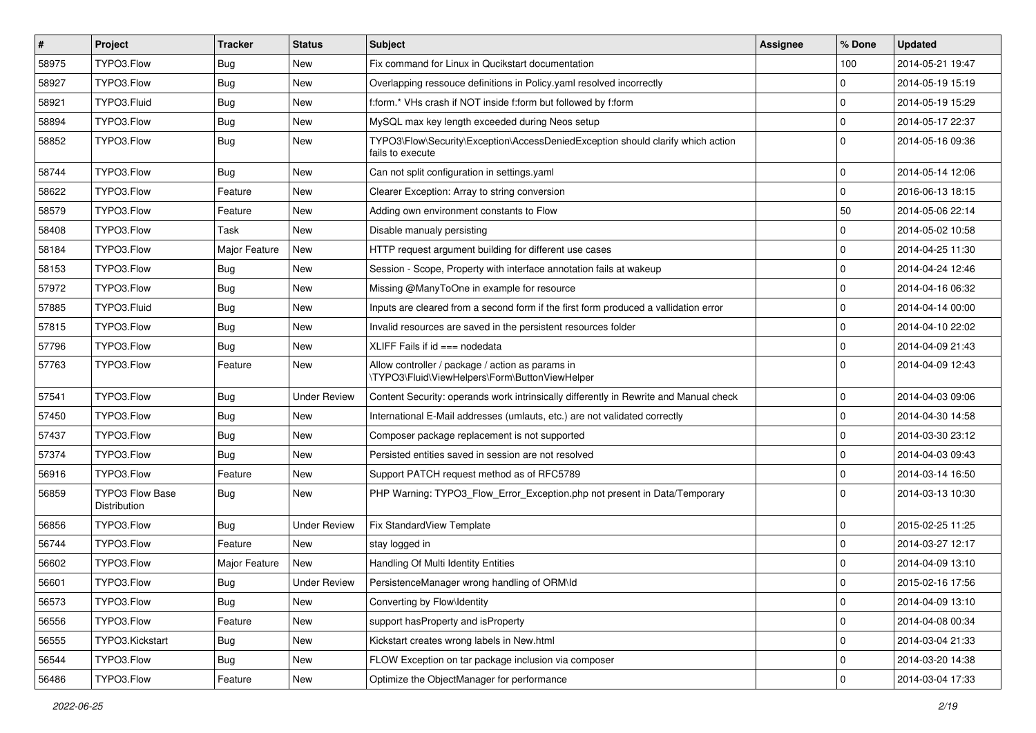| #     | Project                                | <b>Tracker</b> | <b>Status</b>       | <b>Subject</b>                                                                                      | <b>Assignee</b> | % Done              | <b>Updated</b>   |
|-------|----------------------------------------|----------------|---------------------|-----------------------------------------------------------------------------------------------------|-----------------|---------------------|------------------|
| 58975 | TYPO3.Flow                             | Bug            | New                 | Fix command for Linux in Qucikstart documentation                                                   |                 | 100                 | 2014-05-21 19:47 |
| 58927 | TYPO3.Flow                             | <b>Bug</b>     | <b>New</b>          | Overlapping ressouce definitions in Policy yaml resolved incorrectly                                |                 | $\mathbf 0$         | 2014-05-19 15:19 |
| 58921 | TYPO3.Fluid                            | <b>Bug</b>     | New                 | f:form.* VHs crash if NOT inside f:form but followed by f:form                                      |                 | $\mathbf 0$         | 2014-05-19 15:29 |
| 58894 | TYPO3.Flow                             | Bug            | New                 | MySQL max key length exceeded during Neos setup                                                     |                 | $\mathbf 0$         | 2014-05-17 22:37 |
| 58852 | TYPO3.Flow                             | <b>Bug</b>     | New                 | TYPO3\Flow\Security\Exception\AccessDeniedException should clarify which action<br>fails to execute |                 | $\Omega$            | 2014-05-16 09:36 |
| 58744 | TYPO3.Flow                             | <b>Bug</b>     | <b>New</b>          | Can not split configuration in settings.yaml                                                        |                 | $\mathbf 0$         | 2014-05-14 12:06 |
| 58622 | TYPO3.Flow                             | Feature        | New                 | Clearer Exception: Array to string conversion                                                       |                 | $\mathbf 0$         | 2016-06-13 18:15 |
| 58579 | TYPO3.Flow                             | Feature        | New                 | Adding own environment constants to Flow                                                            |                 | 50                  | 2014-05-06 22:14 |
| 58408 | TYPO3.Flow                             | Task           | New                 | Disable manualy persisting                                                                          |                 | 0                   | 2014-05-02 10:58 |
| 58184 | TYPO3.Flow                             | Major Feature  | New                 | HTTP request argument building for different use cases                                              |                 | $\mathbf 0$         | 2014-04-25 11:30 |
| 58153 | TYPO3.Flow                             | Bug            | New                 | Session - Scope, Property with interface annotation fails at wakeup                                 |                 | $\mathbf 0$         | 2014-04-24 12:46 |
| 57972 | TYPO3.Flow                             | <b>Bug</b>     | <b>New</b>          | Missing @ManyToOne in example for resource                                                          |                 | $\mathbf 0$         | 2014-04-16 06:32 |
| 57885 | TYPO3.Fluid                            | Bug            | New                 | Inputs are cleared from a second form if the first form produced a vallidation error                |                 | $\mathbf 0$         | 2014-04-14 00:00 |
| 57815 | TYPO3.Flow                             | Bug            | New                 | Invalid resources are saved in the persistent resources folder                                      |                 | $\Omega$            | 2014-04-10 22:02 |
| 57796 | TYPO3.Flow                             | <b>Bug</b>     | New                 | XLIFF Fails if $id ==$ nodedata                                                                     |                 | $\mathbf 0$         | 2014-04-09 21:43 |
| 57763 | TYPO3.Flow                             | Feature        | New                 | Allow controller / package / action as params in<br>\TYPO3\Fluid\ViewHelpers\Form\ButtonViewHelper  |                 | $\Omega$            | 2014-04-09 12:43 |
| 57541 | TYPO3.Flow                             | <b>Bug</b>     | <b>Under Review</b> | Content Security: operands work intrinsically differently in Rewrite and Manual check               |                 | $\mathbf 0$         | 2014-04-03 09:06 |
| 57450 | TYPO3.Flow                             | <b>Bug</b>     | New                 | International E-Mail addresses (umlauts, etc.) are not validated correctly                          |                 | $\mathbf 0$         | 2014-04-30 14:58 |
| 57437 | TYPO3.Flow                             | <b>Bug</b>     | <b>New</b>          | Composer package replacement is not supported                                                       |                 | $\mathbf 0$         | 2014-03-30 23:12 |
| 57374 | TYPO3.Flow                             | <b>Bug</b>     | New                 | Persisted entities saved in session are not resolved                                                |                 | $\Omega$            | 2014-04-03 09:43 |
| 56916 | TYPO3.Flow                             | Feature        | New                 | Support PATCH request method as of RFC5789                                                          |                 | $\mathbf 0$         | 2014-03-14 16:50 |
| 56859 | <b>TYPO3 Flow Base</b><br>Distribution | Bug            | New                 | PHP Warning: TYPO3_Flow_Error_Exception.php not present in Data/Temporary                           |                 | $\Omega$            | 2014-03-13 10:30 |
| 56856 | TYPO3.Flow                             | Bug            | <b>Under Review</b> | Fix StandardView Template                                                                           |                 | $\mathbf 0$         | 2015-02-25 11:25 |
| 56744 | TYPO3.Flow                             | Feature        | New                 | stay logged in                                                                                      |                 | $\mathbf 0$         | 2014-03-27 12:17 |
| 56602 | TYPO3.Flow                             | Major Feature  | New                 | Handling Of Multi Identity Entities                                                                 |                 | $\mathbf 0$         | 2014-04-09 13:10 |
| 56601 | TYPO3.Flow                             | Bug            | <b>Under Review</b> | PersistenceManager wrong handling of ORM\ld                                                         |                 | 0                   | 2015-02-16 17:56 |
| 56573 | TYPO3.Flow                             | Bug            | New                 | Converting by Flow\Identity                                                                         |                 | $\mathbf 0$         | 2014-04-09 13:10 |
| 56556 | TYPO3.Flow                             | Feature        | New                 | support hasProperty and isProperty                                                                  |                 | $\mathbf 0$         | 2014-04-08 00:34 |
| 56555 | TYPO3.Kickstart                        | Bug            | New                 | Kickstart creates wrong labels in New.html                                                          |                 | $\mathsf{O}\xspace$ | 2014-03-04 21:33 |
| 56544 | TYPO3.Flow                             | Bug            | New                 | FLOW Exception on tar package inclusion via composer                                                |                 | 0                   | 2014-03-20 14:38 |
| 56486 | TYPO3.Flow                             | Feature        | New                 | Optimize the ObjectManager for performance                                                          |                 | $\mathbf 0$         | 2014-03-04 17:33 |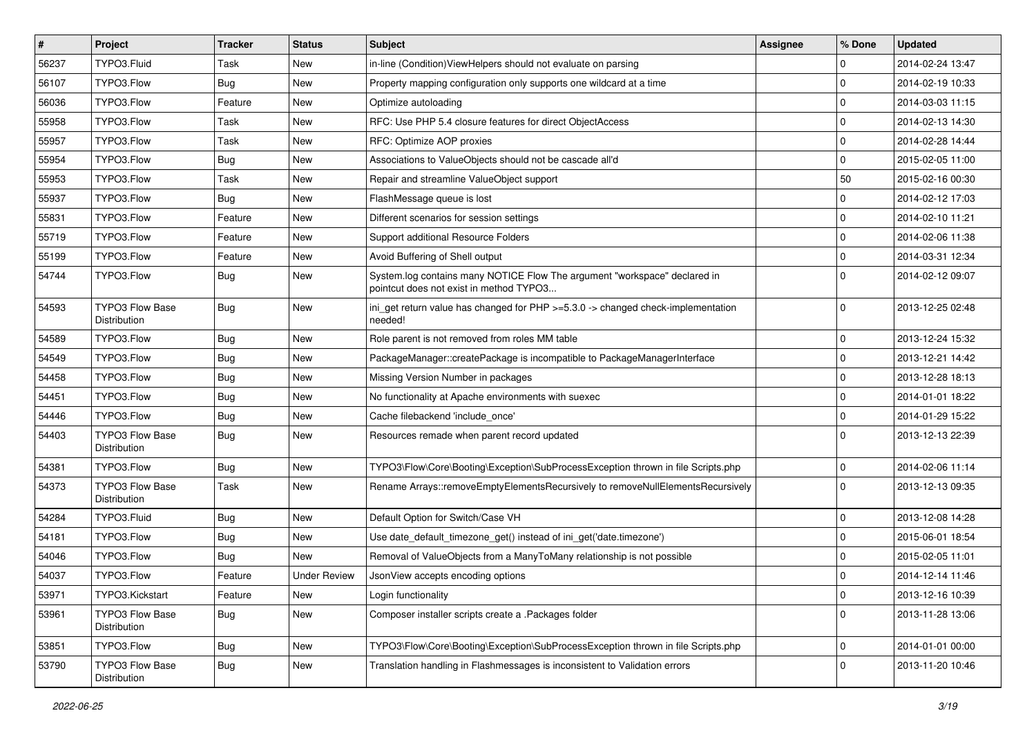| #     | Project                                | <b>Tracker</b> | <b>Status</b>       | Subject                                                                                                              | <b>Assignee</b> | % Done      | <b>Updated</b>   |
|-------|----------------------------------------|----------------|---------------------|----------------------------------------------------------------------------------------------------------------------|-----------------|-------------|------------------|
| 56237 | TYPO3.Fluid                            | Task           | New                 | in-line (Condition) ViewHelpers should not evaluate on parsing                                                       |                 | 0           | 2014-02-24 13:47 |
| 56107 | TYPO3.Flow                             | Bug            | <b>New</b>          | Property mapping configuration only supports one wildcard at a time                                                  |                 | $\mathbf 0$ | 2014-02-19 10:33 |
| 56036 | TYPO3.Flow                             | Feature        | New                 | Optimize autoloading                                                                                                 |                 | $\mathbf 0$ | 2014-03-03 11:15 |
| 55958 | TYPO3.Flow                             | Task           | New                 | RFC: Use PHP 5.4 closure features for direct ObjectAccess                                                            |                 | $\mathbf 0$ | 2014-02-13 14:30 |
| 55957 | TYPO3.Flow                             | Task           | New                 | RFC: Optimize AOP proxies                                                                                            |                 | 0           | 2014-02-28 14:44 |
| 55954 | TYPO3.Flow                             | Bug            | New                 | Associations to ValueObjects should not be cascade all'd                                                             |                 | $\mathbf 0$ | 2015-02-05 11:00 |
| 55953 | TYPO3.Flow                             | Task           | New                 | Repair and streamline ValueObject support                                                                            |                 | 50          | 2015-02-16 00:30 |
| 55937 | TYPO3.Flow                             | Bug            | New                 | FlashMessage queue is lost                                                                                           |                 | 0           | 2014-02-12 17:03 |
| 55831 | TYPO3.Flow                             | Feature        | New                 | Different scenarios for session settings                                                                             |                 | $\mathbf 0$ | 2014-02-10 11:21 |
| 55719 | TYPO3.Flow                             | Feature        | New                 | Support additional Resource Folders                                                                                  |                 | $\mathbf 0$ | 2014-02-06 11:38 |
| 55199 | TYPO3.Flow                             | Feature        | New                 | Avoid Buffering of Shell output                                                                                      |                 | $\mathbf 0$ | 2014-03-31 12:34 |
| 54744 | TYPO3.Flow                             | Bug            | New                 | System.log contains many NOTICE Flow The argument "workspace" declared in<br>pointcut does not exist in method TYPO3 |                 | $\Omega$    | 2014-02-12 09:07 |
| 54593 | TYPO3 Flow Base<br>Distribution        | Bug            | New                 | ini_get return value has changed for PHP >=5.3.0 -> changed check-implementation<br>needed!                          |                 | $\Omega$    | 2013-12-25 02:48 |
| 54589 | TYPO3.Flow                             | Bug            | New                 | Role parent is not removed from roles MM table                                                                       |                 | $\mathbf 0$ | 2013-12-24 15:32 |
| 54549 | TYPO3.Flow                             | Bug            | New                 | PackageManager::createPackage is incompatible to PackageManagerInterface                                             |                 | $\mathbf 0$ | 2013-12-21 14:42 |
| 54458 | TYPO3.Flow                             | Bug            | New                 | Missing Version Number in packages                                                                                   |                 | $\mathbf 0$ | 2013-12-28 18:13 |
| 54451 | TYPO3.Flow                             | Bug            | New                 | No functionality at Apache environments with suexec                                                                  |                 | $\mathbf 0$ | 2014-01-01 18:22 |
| 54446 | TYPO3.Flow                             | Bug            | New                 | Cache filebackend 'include_once'                                                                                     |                 | $\mathbf 0$ | 2014-01-29 15:22 |
| 54403 | <b>TYPO3 Flow Base</b><br>Distribution | Bug            | New                 | Resources remade when parent record updated                                                                          |                 | $\Omega$    | 2013-12-13 22:39 |
| 54381 | TYPO3.Flow                             | Bug            | <b>New</b>          | TYPO3\Flow\Core\Booting\Exception\SubProcessException thrown in file Scripts.php                                     |                 | $\mathbf 0$ | 2014-02-06 11:14 |
| 54373 | <b>TYPO3 Flow Base</b><br>Distribution | Task           | New                 | Rename Arrays::removeEmptyElementsRecursively to removeNullElementsRecursively                                       |                 | $\Omega$    | 2013-12-13 09:35 |
| 54284 | TYPO3.Fluid                            | Bug            | New                 | Default Option for Switch/Case VH                                                                                    |                 | $\mathbf 0$ | 2013-12-08 14:28 |
| 54181 | TYPO3.Flow                             | Bug            | New                 | Use date_default_timezone_get() instead of ini_get('date.timezone')                                                  |                 | $\mathbf 0$ | 2015-06-01 18:54 |
| 54046 | TYPO3.Flow                             | Bug            | New                 | Removal of ValueObjects from a ManyToMany relationship is not possible                                               |                 | $\mathbf 0$ | 2015-02-05 11:01 |
| 54037 | TYPO3.Flow                             | Feature        | <b>Under Review</b> | JsonView accepts encoding options                                                                                    |                 | $\mathbf 0$ | 2014-12-14 11:46 |
| 53971 | TYPO3.Kickstart                        | Feature        | New                 | Login functionality                                                                                                  |                 | 0           | 2013-12-16 10:39 |
| 53961 | TYPO3 Flow Base<br>Distribution        | <b>Bug</b>     | New                 | Composer installer scripts create a .Packages folder                                                                 |                 | $\Omega$    | 2013-11-28 13:06 |
| 53851 | TYPO3.Flow                             | <b>Bug</b>     | New                 | TYPO3\Flow\Core\Booting\Exception\SubProcessException thrown in file Scripts.php                                     |                 | $\mathbf 0$ | 2014-01-01 00:00 |
| 53790 | TYPO3 Flow Base<br>Distribution        | <b>Bug</b>     | New                 | Translation handling in Flashmessages is inconsistent to Validation errors                                           |                 | 0           | 2013-11-20 10:46 |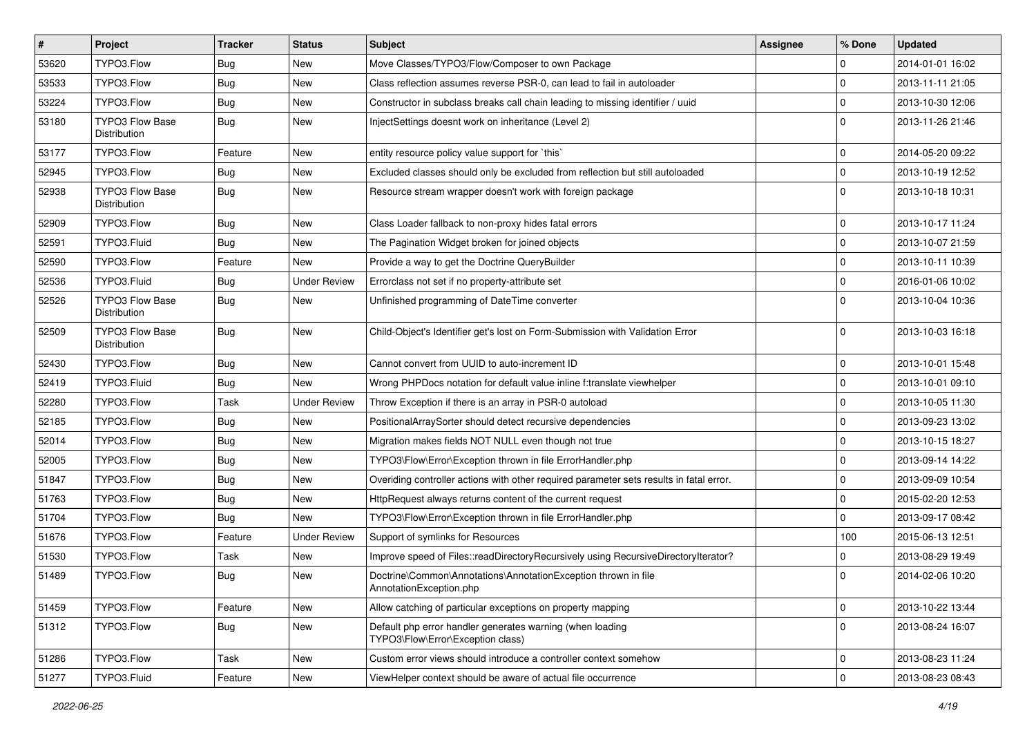| $\vert$ # | Project                                | <b>Tracker</b> | <b>Status</b>       | Subject                                                                                        | <b>Assignee</b> | % Done              | <b>Updated</b>   |
|-----------|----------------------------------------|----------------|---------------------|------------------------------------------------------------------------------------------------|-----------------|---------------------|------------------|
| 53620     | TYPO3.Flow                             | <b>Bug</b>     | New                 | Move Classes/TYPO3/Flow/Composer to own Package                                                |                 | $\mathbf 0$         | 2014-01-01 16:02 |
| 53533     | TYPO3.Flow                             | <b>Bug</b>     | <b>New</b>          | Class reflection assumes reverse PSR-0, can lead to fail in autoloader                         |                 | $\mathbf 0$         | 2013-11-11 21:05 |
| 53224     | TYPO3.Flow                             | Bug            | New                 | Constructor in subclass breaks call chain leading to missing identifier / uuid                 |                 | $\mathbf 0$         | 2013-10-30 12:06 |
| 53180     | <b>TYPO3 Flow Base</b><br>Distribution | Bug            | New                 | InjectSettings doesnt work on inheritance (Level 2)                                            |                 | $\Omega$            | 2013-11-26 21:46 |
| 53177     | TYPO3.Flow                             | Feature        | New                 | entity resource policy value support for `this`                                                |                 | $\mathbf 0$         | 2014-05-20 09:22 |
| 52945     | TYPO3.Flow                             | Bug            | New                 | Excluded classes should only be excluded from reflection but still autoloaded                  |                 | $\mathbf 0$         | 2013-10-19 12:52 |
| 52938     | <b>TYPO3 Flow Base</b><br>Distribution | Bug            | New                 | Resource stream wrapper doesn't work with foreign package                                      |                 | $\Omega$            | 2013-10-18 10:31 |
| 52909     | TYPO3.Flow                             | <b>Bug</b>     | <b>New</b>          | Class Loader fallback to non-proxy hides fatal errors                                          |                 | $\mathbf 0$         | 2013-10-17 11:24 |
| 52591     | TYPO3.Fluid                            | Bug            | New                 | The Pagination Widget broken for joined objects                                                |                 | $\mathbf 0$         | 2013-10-07 21:59 |
| 52590     | TYPO3.Flow                             | Feature        | New                 | Provide a way to get the Doctrine QueryBuilder                                                 |                 | $\mathbf 0$         | 2013-10-11 10:39 |
| 52536     | TYPO3.Fluid                            | Bug            | <b>Under Review</b> | Errorclass not set if no property-attribute set                                                |                 | $\mathbf 0$         | 2016-01-06 10:02 |
| 52526     | <b>TYPO3 Flow Base</b><br>Distribution | Bug            | New                 | Unfinished programming of DateTime converter                                                   |                 | $\Omega$            | 2013-10-04 10:36 |
| 52509     | <b>TYPO3 Flow Base</b><br>Distribution | <b>Bug</b>     | New                 | Child-Object's Identifier get's lost on Form-Submission with Validation Error                  |                 | $\Omega$            | 2013-10-03 16:18 |
| 52430     | TYPO3.Flow                             | Bug            | <b>New</b>          | Cannot convert from UUID to auto-increment ID                                                  |                 | $\mathbf 0$         | 2013-10-01 15:48 |
| 52419     | TYPO3.Fluid                            | Bug            | New                 | Wrong PHPDocs notation for default value inline f:translate viewhelper                         |                 | $\mathbf 0$         | 2013-10-01 09:10 |
| 52280     | TYPO3.Flow                             | Task           | <b>Under Review</b> | Throw Exception if there is an array in PSR-0 autoload                                         |                 | $\mathbf 0$         | 2013-10-05 11:30 |
| 52185     | TYPO3.Flow                             | Bug            | New                 | PositionalArraySorter should detect recursive dependencies                                     |                 | $\mathbf 0$         | 2013-09-23 13:02 |
| 52014     | TYPO3.Flow                             | <b>Bug</b>     | New                 | Migration makes fields NOT NULL even though not true                                           |                 | $\mathbf 0$         | 2013-10-15 18:27 |
| 52005     | TYPO3.Flow                             | <b>Bug</b>     | New                 | TYPO3\Flow\Error\Exception thrown in file ErrorHandler.php                                     |                 | $\mathbf 0$         | 2013-09-14 14:22 |
| 51847     | TYPO3.Flow                             | Bug            | New                 | Overiding controller actions with other required parameter sets results in fatal error.        |                 | $\mathbf 0$         | 2013-09-09 10:54 |
| 51763     | TYPO3.Flow                             | Bug            | New                 | HttpRequest always returns content of the current request                                      |                 | $\mathbf 0$         | 2015-02-20 12:53 |
| 51704     | TYPO3.Flow                             | Bug            | New                 | TYPO3\Flow\Error\Exception thrown in file ErrorHandler.php                                     |                 | $\Omega$            | 2013-09-17 08:42 |
| 51676     | TYPO3.Flow                             | Feature        | <b>Under Review</b> | Support of symlinks for Resources                                                              |                 | 100                 | 2015-06-13 12:51 |
| 51530     | TYPO3.Flow                             | Task           | New                 | Improve speed of Files::readDirectoryRecursively using RecursiveDirectoryIterator?             |                 | $\mathbf 0$         | 2013-08-29 19:49 |
| 51489     | TYPO3.Flow                             | Bug            | New                 | Doctrine\Common\Annotations\AnnotationException thrown in file<br>AnnotationException.php      |                 | $\Omega$            | 2014-02-06 10:20 |
| 51459     | TYPO3.Flow                             | Feature        | New                 | Allow catching of particular exceptions on property mapping                                    |                 | $\mathsf{O}\xspace$ | 2013-10-22 13:44 |
| 51312     | TYPO3.Flow                             | <b>Bug</b>     | New                 | Default php error handler generates warning (when loading<br>TYPO3\Flow\Error\Exception class) |                 | $\mathbf 0$         | 2013-08-24 16:07 |
| 51286     | TYPO3.Flow                             | Task           | New                 | Custom error views should introduce a controller context somehow                               |                 | $\mathbf 0$         | 2013-08-23 11:24 |
| 51277     | TYPO3.Fluid                            | Feature        | New                 | ViewHelper context should be aware of actual file occurrence                                   |                 | $\pmb{0}$           | 2013-08-23 08:43 |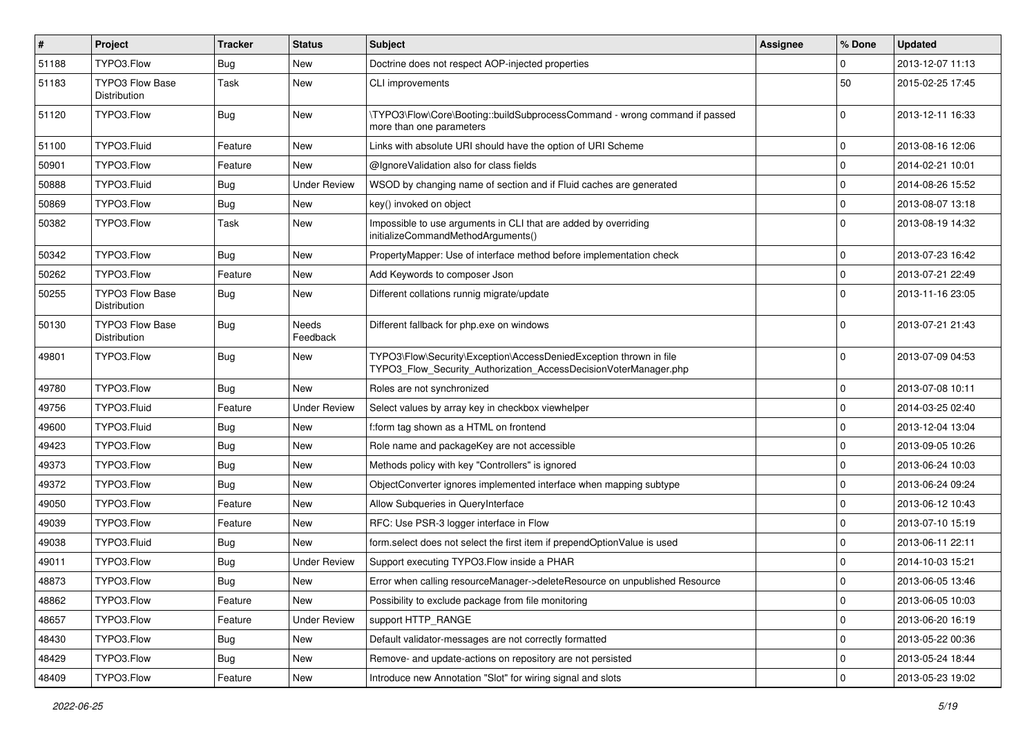| $\pmb{\#}$ | Project                                | <b>Tracker</b> | <b>Status</b>       | Subject                                                                                                                                | <b>Assignee</b> | % Done      | <b>Updated</b>   |
|------------|----------------------------------------|----------------|---------------------|----------------------------------------------------------------------------------------------------------------------------------------|-----------------|-------------|------------------|
| 51188      | TYPO3.Flow                             | <b>Bug</b>     | <b>New</b>          | Doctrine does not respect AOP-injected properties                                                                                      |                 | 0           | 2013-12-07 11:13 |
| 51183      | <b>TYPO3 Flow Base</b><br>Distribution | Task           | New                 | <b>CLI improvements</b>                                                                                                                |                 | 50          | 2015-02-25 17:45 |
| 51120      | TYPO3.Flow                             | Bug            | New                 | \TYPO3\Flow\Core\Booting::buildSubprocessCommand - wrong command if passed<br>more than one parameters                                 |                 | $\Omega$    | 2013-12-11 16:33 |
| 51100      | TYPO3.Fluid                            | Feature        | New                 | Links with absolute URI should have the option of URI Scheme                                                                           |                 | $\mathbf 0$ | 2013-08-16 12:06 |
| 50901      | TYPO3.Flow                             | Feature        | <b>New</b>          | @IgnoreValidation also for class fields                                                                                                |                 | 0           | 2014-02-21 10:01 |
| 50888      | TYPO3.Fluid                            | Bug            | <b>Under Review</b> | WSOD by changing name of section and if Fluid caches are generated                                                                     |                 | 0           | 2014-08-26 15:52 |
| 50869      | TYPO3.Flow                             | <b>Bug</b>     | <b>New</b>          | key() invoked on object                                                                                                                |                 | 0           | 2013-08-07 13:18 |
| 50382      | TYPO3.Flow                             | Task           | New                 | Impossible to use arguments in CLI that are added by overriding<br>initializeCommandMethodArguments()                                  |                 | $\Omega$    | 2013-08-19 14:32 |
| 50342      | TYPO3.Flow                             | Bug            | New                 | PropertyMapper: Use of interface method before implementation check                                                                    |                 | $\mathbf 0$ | 2013-07-23 16:42 |
| 50262      | TYPO3.Flow                             | Feature        | <b>New</b>          | Add Keywords to composer Json                                                                                                          |                 | $\mathbf 0$ | 2013-07-21 22:49 |
| 50255      | <b>TYPO3 Flow Base</b><br>Distribution | Bug            | New                 | Different collations runnig migrate/update                                                                                             |                 | $\Omega$    | 2013-11-16 23:05 |
| 50130      | <b>TYPO3 Flow Base</b><br>Distribution | Bug            | Needs<br>Feedback   | Different fallback for php.exe on windows                                                                                              |                 | $\Omega$    | 2013-07-21 21:43 |
| 49801      | TYPO3.Flow                             | <b>Bug</b>     | New                 | TYPO3\Flow\Security\Exception\AccessDeniedException thrown in file<br>TYPO3_Flow_Security_Authorization_AccessDecisionVoterManager.php |                 | $\Omega$    | 2013-07-09 04:53 |
| 49780      | TYPO3.Flow                             | Bug            | New                 | Roles are not synchronized                                                                                                             |                 | $\mathbf 0$ | 2013-07-08 10:11 |
| 49756      | TYPO3.Fluid                            | Feature        | <b>Under Review</b> | Select values by array key in checkbox viewhelper                                                                                      |                 | 0           | 2014-03-25 02:40 |
| 49600      | TYPO3.Fluid                            | <b>Bug</b>     | New                 | f:form tag shown as a HTML on frontend                                                                                                 |                 | 0           | 2013-12-04 13:04 |
| 49423      | TYPO3.Flow                             | Bug            | New                 | Role name and packageKey are not accessible                                                                                            |                 | 0           | 2013-09-05 10:26 |
| 49373      | TYPO3.Flow                             | Bug            | New                 | Methods policy with key "Controllers" is ignored                                                                                       |                 | 0           | 2013-06-24 10:03 |
| 49372      | TYPO3.Flow                             | Bug            | New                 | ObjectConverter ignores implemented interface when mapping subtype                                                                     |                 | 0           | 2013-06-24 09:24 |
| 49050      | TYPO3.Flow                             | Feature        | New                 | Allow Subqueries in QueryInterface                                                                                                     |                 | $\mathbf 0$ | 2013-06-12 10:43 |
| 49039      | TYPO3.Flow                             | Feature        | New                 | RFC: Use PSR-3 logger interface in Flow                                                                                                |                 | 0           | 2013-07-10 15:19 |
| 49038      | TYPO3.Fluid                            | Bug            | New                 | form select does not select the first item if prependOptionValue is used                                                               |                 | $\mathbf 0$ | 2013-06-11 22:11 |
| 49011      | TYPO3.Flow                             | <b>Bug</b>     | <b>Under Review</b> | Support executing TYPO3. Flow inside a PHAR                                                                                            |                 | $\mathbf 0$ | 2014-10-03 15:21 |
| 48873      | TYPO3.Flow                             | Bug            | New                 | Error when calling resourceManager->deleteResource on unpublished Resource                                                             |                 | $\Omega$    | 2013-06-05 13:46 |
| 48862      | TYPO3.Flow                             | Feature        | New                 | Possibility to exclude package from file monitoring                                                                                    |                 | $\mathbf 0$ | 2013-06-05 10:03 |
| 48657      | TYPO3.Flow                             | Feature        | <b>Under Review</b> | support HTTP_RANGE                                                                                                                     |                 | $\mathbf 0$ | 2013-06-20 16:19 |
| 48430      | TYPO3.Flow                             | Bug            | New                 | Default validator-messages are not correctly formatted                                                                                 |                 | 0           | 2013-05-22 00:36 |
| 48429      | TYPO3.Flow                             | <b>Bug</b>     | New                 | Remove- and update-actions on repository are not persisted                                                                             |                 | 0           | 2013-05-24 18:44 |
| 48409      | TYPO3.Flow                             | Feature        | New                 | Introduce new Annotation "Slot" for wiring signal and slots                                                                            |                 | $\pmb{0}$   | 2013-05-23 19:02 |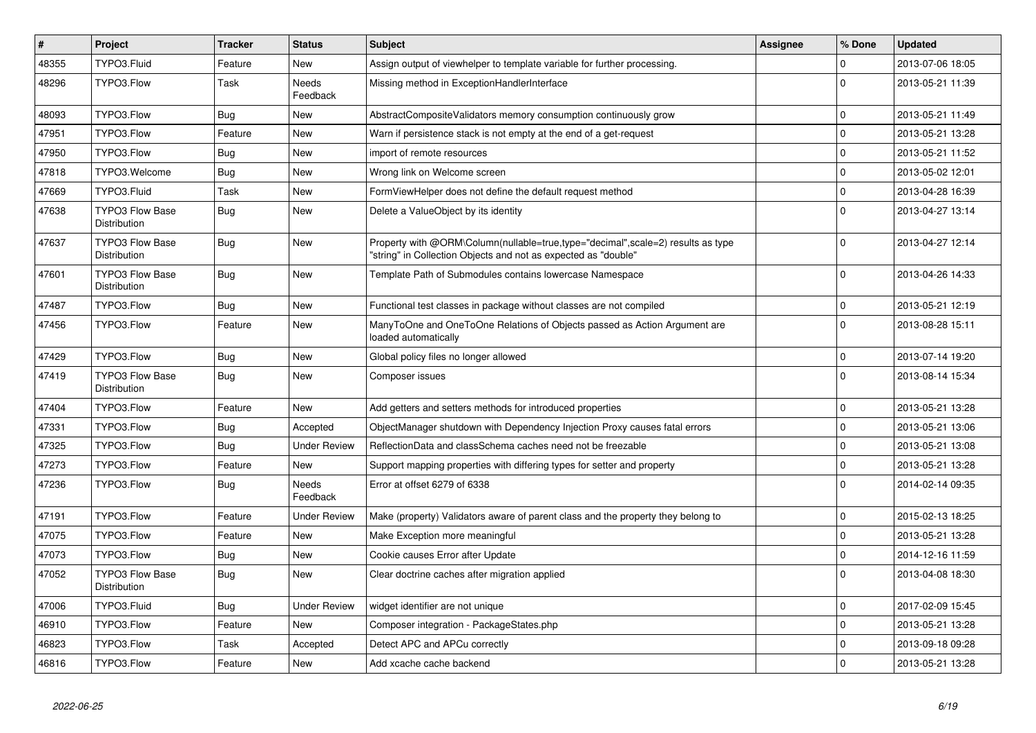| $\vert$ # | <b>Project</b>                                | <b>Tracker</b> | <b>Status</b>            | <b>Subject</b>                                                                                                                                    | <b>Assignee</b> | % Done      | <b>Updated</b>   |
|-----------|-----------------------------------------------|----------------|--------------------------|---------------------------------------------------------------------------------------------------------------------------------------------------|-----------------|-------------|------------------|
| 48355     | TYPO3.Fluid                                   | Feature        | <b>New</b>               | Assign output of viewhelper to template variable for further processing.                                                                          |                 | $\Omega$    | 2013-07-06 18:05 |
| 48296     | TYPO3.Flow                                    | Task           | <b>Needs</b><br>Feedback | Missing method in ExceptionHandlerInterface                                                                                                       |                 | $\Omega$    | 2013-05-21 11:39 |
| 48093     | TYPO3.Flow                                    | <b>Bug</b>     | <b>New</b>               | AbstractCompositeValidators memory consumption continuously grow                                                                                  |                 | 0           | 2013-05-21 11:49 |
| 47951     | TYPO3.Flow                                    | Feature        | <b>New</b>               | Warn if persistence stack is not empty at the end of a get-request                                                                                |                 | $\mathbf 0$ | 2013-05-21 13:28 |
| 47950     | TYPO3.Flow                                    | <b>Bug</b>     | <b>New</b>               | import of remote resources                                                                                                                        |                 | 0           | 2013-05-21 11:52 |
| 47818     | TYPO3.Welcome                                 | <b>Bug</b>     | <b>New</b>               | Wrong link on Welcome screen                                                                                                                      |                 | $\mathbf 0$ | 2013-05-02 12:01 |
| 47669     | TYPO3.Fluid                                   | Task           | <b>New</b>               | FormViewHelper does not define the default request method                                                                                         |                 | 0           | 2013-04-28 16:39 |
| 47638     | <b>TYPO3 Flow Base</b><br>Distribution        | <b>Bug</b>     | <b>New</b>               | Delete a ValueObject by its identity                                                                                                              |                 | $\Omega$    | 2013-04-27 13:14 |
| 47637     | <b>TYPO3 Flow Base</b><br>Distribution        | <b>Bug</b>     | <b>New</b>               | Property with @ORM\Column(nullable=true,type="decimal",scale=2) results as type<br>"string" in Collection Objects and not as expected as "double" |                 | $\Omega$    | 2013-04-27 12:14 |
| 47601     | <b>TYPO3 Flow Base</b><br><b>Distribution</b> | <b>Bug</b>     | <b>New</b>               | Template Path of Submodules contains lowercase Namespace                                                                                          |                 | $\Omega$    | 2013-04-26 14:33 |
| 47487     | TYPO3.Flow                                    | Bug            | <b>New</b>               | Functional test classes in package without classes are not compiled                                                                               |                 | 0           | 2013-05-21 12:19 |
| 47456     | TYPO3.Flow                                    | Feature        | <b>New</b>               | ManyToOne and OneToOne Relations of Objects passed as Action Argument are<br>loaded automatically                                                 |                 | $\Omega$    | 2013-08-28 15:11 |
| 47429     | TYPO3.Flow                                    | <b>Bug</b>     | <b>New</b>               | Global policy files no longer allowed                                                                                                             |                 | $\mathbf 0$ | 2013-07-14 19:20 |
| 47419     | <b>TYPO3 Flow Base</b><br>Distribution        | <b>Bug</b>     | <b>New</b>               | Composer issues                                                                                                                                   |                 | $\Omega$    | 2013-08-14 15:34 |
| 47404     | TYPO3.Flow                                    | Feature        | <b>New</b>               | Add getters and setters methods for introduced properties                                                                                         |                 | $\mathbf 0$ | 2013-05-21 13:28 |
| 47331     | TYPO3.Flow                                    | <b>Bug</b>     | Accepted                 | ObjectManager shutdown with Dependency Injection Proxy causes fatal errors                                                                        |                 | 0           | 2013-05-21 13:06 |
| 47325     | TYPO3.Flow                                    | Bug            | <b>Under Review</b>      | ReflectionData and classSchema caches need not be freezable                                                                                       |                 | $\mathbf 0$ | 2013-05-21 13:08 |
| 47273     | TYPO3.Flow                                    | Feature        | <b>New</b>               | Support mapping properties with differing types for setter and property                                                                           |                 | 0           | 2013-05-21 13:28 |
| 47236     | TYPO3.Flow                                    | <b>Bug</b>     | <b>Needs</b><br>Feedback | Error at offset 6279 of 6338                                                                                                                      |                 | $\Omega$    | 2014-02-14 09:35 |
| 47191     | TYPO3.Flow                                    | Feature        | <b>Under Review</b>      | Make (property) Validators aware of parent class and the property they belong to                                                                  |                 | $\pmb{0}$   | 2015-02-13 18:25 |
| 47075     | TYPO3.Flow                                    | Feature        | <b>New</b>               | Make Exception more meaningful                                                                                                                    |                 | 0           | 2013-05-21 13:28 |
| 47073     | TYPO3.Flow                                    | <b>Bug</b>     | <b>New</b>               | Cookie causes Error after Update                                                                                                                  |                 | 0           | 2014-12-16 11:59 |
| 47052     | <b>TYPO3 Flow Base</b><br>Distribution        | Bug            | New                      | Clear doctrine caches after migration applied                                                                                                     |                 | $\Omega$    | 2013-04-08 18:30 |
| 47006     | TYPO3.Fluid                                   | <b>Bug</b>     | <b>Under Review</b>      | widget identifier are not unique                                                                                                                  |                 | 0           | 2017-02-09 15:45 |
| 46910     | TYPO3.Flow                                    | Feature        | <b>New</b>               | Composer integration - PackageStates.php                                                                                                          |                 | 0           | 2013-05-21 13:28 |
| 46823     | TYPO3.Flow                                    | Task           | Accepted                 | Detect APC and APCu correctly                                                                                                                     |                 | 0           | 2013-09-18 09:28 |
| 46816     | TYPO3.Flow                                    | Feature        | <b>New</b>               | Add xcache cache backend                                                                                                                          |                 | $\Omega$    | 2013-05-21 13:28 |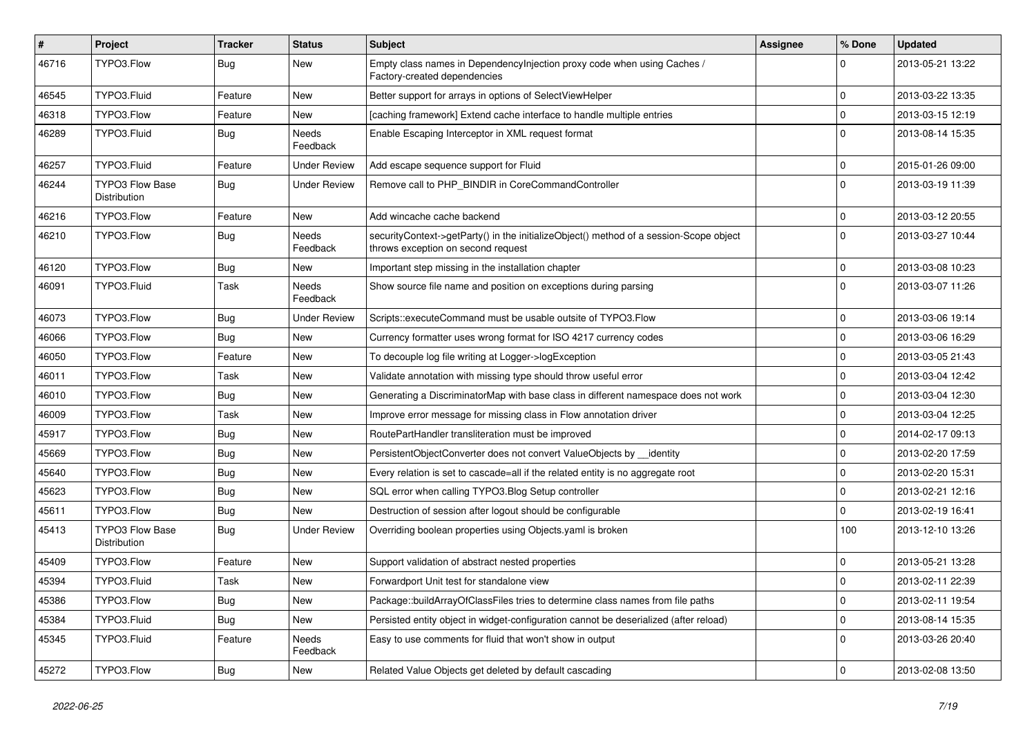| #     | Project                                | <b>Tracker</b> | <b>Status</b>            | Subject                                                                                                                      | Assignee | % Done      | <b>Updated</b>   |
|-------|----------------------------------------|----------------|--------------------------|------------------------------------------------------------------------------------------------------------------------------|----------|-------------|------------------|
| 46716 | TYPO3.Flow                             | Bug            | New                      | Empty class names in Dependencylnjection proxy code when using Caches /<br>Factory-created dependencies                      |          | $\Omega$    | 2013-05-21 13:22 |
| 46545 | TYPO3.Fluid                            | Feature        | <b>New</b>               | Better support for arrays in options of SelectViewHelper                                                                     |          | $\mathbf 0$ | 2013-03-22 13:35 |
| 46318 | TYPO3.Flow                             | Feature        | New                      | [caching framework] Extend cache interface to handle multiple entries                                                        |          | $\mathbf 0$ | 2013-03-15 12:19 |
| 46289 | TYPO3.Fluid                            | Bug            | <b>Needs</b><br>Feedback | Enable Escaping Interceptor in XML request format                                                                            |          | $\Omega$    | 2013-08-14 15:35 |
| 46257 | TYPO3.Fluid                            | Feature        | <b>Under Review</b>      | Add escape sequence support for Fluid                                                                                        |          | $\mathbf 0$ | 2015-01-26 09:00 |
| 46244 | <b>TYPO3 Flow Base</b><br>Distribution | Bug            | <b>Under Review</b>      | Remove call to PHP_BINDIR in CoreCommandController                                                                           |          | $\Omega$    | 2013-03-19 11:39 |
| 46216 | TYPO3.Flow                             | Feature        | <b>New</b>               | Add wincache cache backend                                                                                                   |          | $\mathbf 0$ | 2013-03-12 20:55 |
| 46210 | TYPO3.Flow                             | Bug            | Needs<br>Feedback        | securityContext->getParty() in the initializeObject() method of a session-Scope object<br>throws exception on second request |          | $\Omega$    | 2013-03-27 10:44 |
| 46120 | TYPO3.Flow                             | Bug            | New                      | Important step missing in the installation chapter                                                                           |          | $\mathbf 0$ | 2013-03-08 10:23 |
| 46091 | TYPO3.Fluid                            | Task           | Needs<br>Feedback        | Show source file name and position on exceptions during parsing                                                              |          | $\Omega$    | 2013-03-07 11:26 |
| 46073 | TYPO3.Flow                             | Bug            | <b>Under Review</b>      | Scripts::executeCommand must be usable outsite of TYPO3.Flow                                                                 |          | $\mathbf 0$ | 2013-03-06 19:14 |
| 46066 | TYPO3.Flow                             | Bug            | New                      | Currency formatter uses wrong format for ISO 4217 currency codes                                                             |          | $\mathbf 0$ | 2013-03-06 16:29 |
| 46050 | TYPO3.Flow                             | Feature        | New                      | To decouple log file writing at Logger->logException                                                                         |          | $\mathbf 0$ | 2013-03-05 21:43 |
| 46011 | TYPO3.Flow                             | Task           | New                      | Validate annotation with missing type should throw useful error                                                              |          | $\mathbf 0$ | 2013-03-04 12:42 |
| 46010 | TYPO3.Flow                             | Bug            | New                      | Generating a DiscriminatorMap with base class in different namespace does not work                                           |          | $\mathbf 0$ | 2013-03-04 12:30 |
| 46009 | TYPO3.Flow                             | Task           | New                      | Improve error message for missing class in Flow annotation driver                                                            |          | 0           | 2013-03-04 12:25 |
| 45917 | TYPO3.Flow                             | Bug            | New                      | RoutePartHandler transliteration must be improved                                                                            |          | $\mathbf 0$ | 2014-02-17 09:13 |
| 45669 | TYPO3.Flow                             | Bug            | New                      | PersistentObjectConverter does not convert ValueObjects by identity                                                          |          | $\mathbf 0$ | 2013-02-20 17:59 |
| 45640 | TYPO3.Flow                             | Bug            | New                      | Every relation is set to cascade=all if the related entity is no aggregate root                                              |          | $\mathbf 0$ | 2013-02-20 15:31 |
| 45623 | TYPO3.Flow                             | Bug            | New                      | SQL error when calling TYPO3.Blog Setup controller                                                                           |          | $\mathbf 0$ | 2013-02-21 12:16 |
| 45611 | TYPO3.Flow                             | Bug            | <b>New</b>               | Destruction of session after logout should be configurable                                                                   |          | $\mathbf 0$ | 2013-02-19 16:41 |
| 45413 | <b>TYPO3 Flow Base</b><br>Distribution | <b>Bug</b>     | <b>Under Review</b>      | Overriding boolean properties using Objects yaml is broken                                                                   |          | 100         | 2013-12-10 13:26 |
| 45409 | TYPO3.Flow                             | Feature        | New                      | Support validation of abstract nested properties                                                                             |          | 0           | 2013-05-21 13:28 |
| 45394 | TYPO3.Fluid                            | Task           | New                      | Forwardport Unit test for standalone view                                                                                    |          | $\Omega$    | 2013-02-11 22:39 |
| 45386 | TYPO3.Flow                             | <b>Bug</b>     | New                      | Package::buildArrayOfClassFiles tries to determine class names from file paths                                               |          | $\mathbf 0$ | 2013-02-11 19:54 |
| 45384 | TYPO3.Fluid                            | <b>Bug</b>     | New                      | Persisted entity object in widget-configuration cannot be deserialized (after reload)                                        |          | 0           | 2013-08-14 15:35 |
| 45345 | TYPO3.Fluid                            | Feature        | Needs<br>Feedback        | Easy to use comments for fluid that won't show in output                                                                     |          | $\mathbf 0$ | 2013-03-26 20:40 |
| 45272 | TYPO3.Flow                             | <b>Bug</b>     | New                      | Related Value Objects get deleted by default cascading                                                                       |          | $\mathbf 0$ | 2013-02-08 13:50 |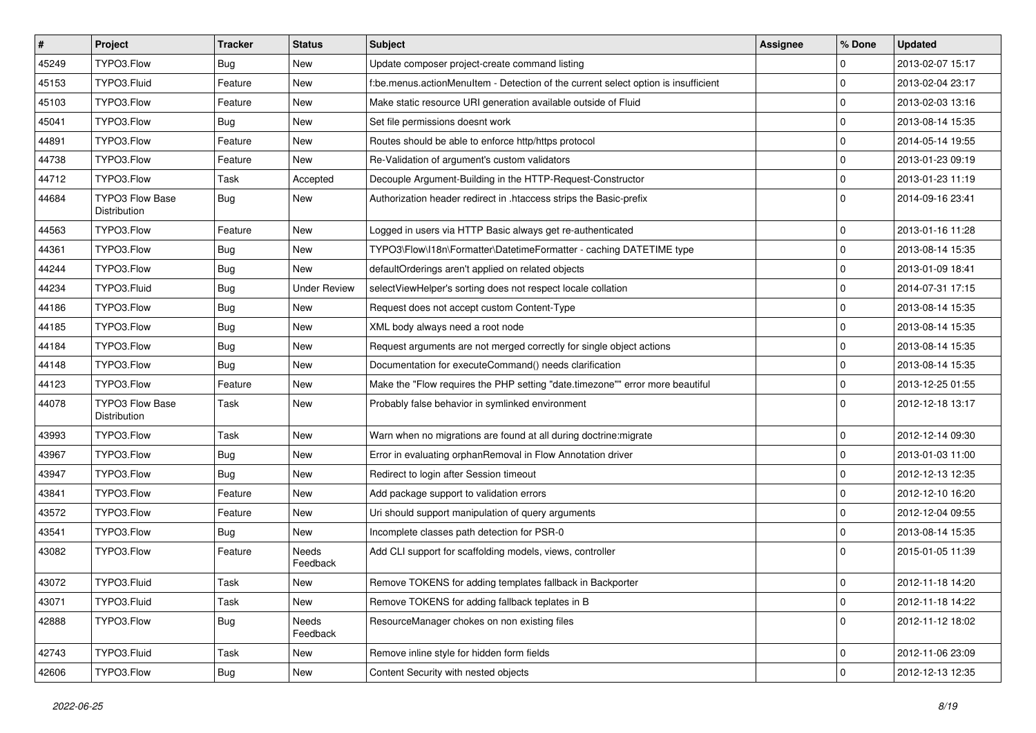| $\vert$ # | Project                                | Tracker    | <b>Status</b>       | Subject                                                                            | <b>Assignee</b> | % Done         | <b>Updated</b>   |
|-----------|----------------------------------------|------------|---------------------|------------------------------------------------------------------------------------|-----------------|----------------|------------------|
| 45249     | TYPO3.Flow                             | <b>Bug</b> | New                 | Update composer project-create command listing                                     |                 | $\mathbf 0$    | 2013-02-07 15:17 |
| 45153     | TYPO3.Fluid                            | Feature    | New                 | f:be.menus.actionMenuItem - Detection of the current select option is insufficient |                 | $\overline{0}$ | 2013-02-04 23:17 |
| 45103     | TYPO3.Flow                             | Feature    | New                 | Make static resource URI generation available outside of Fluid                     |                 | 0              | 2013-02-03 13:16 |
| 45041     | TYPO3.Flow                             | <b>Bug</b> | New                 | Set file permissions doesnt work                                                   |                 | $\mathbf 0$    | 2013-08-14 15:35 |
| 44891     | TYPO3.Flow                             | Feature    | New                 | Routes should be able to enforce http/https protocol                               |                 | 0              | 2014-05-14 19:55 |
| 44738     | TYPO3.Flow                             | Feature    | New                 | Re-Validation of argument's custom validators                                      |                 | $\mathbf 0$    | 2013-01-23 09:19 |
| 44712     | TYPO3.Flow                             | Task       | Accepted            | Decouple Argument-Building in the HTTP-Request-Constructor                         |                 | $\overline{0}$ | 2013-01-23 11:19 |
| 44684     | <b>TYPO3 Flow Base</b><br>Distribution | Bug        | New                 | Authorization header redirect in .htaccess strips the Basic-prefix                 |                 | l 0            | 2014-09-16 23:41 |
| 44563     | TYPO3.Flow                             | Feature    | New                 | Logged in users via HTTP Basic always get re-authenticated                         |                 | $\mathbf 0$    | 2013-01-16 11:28 |
| 44361     | TYPO3.Flow                             | Bug        | New                 | TYPO3\Flow\I18n\Formatter\DatetimeFormatter - caching DATETIME type                |                 | 0              | 2013-08-14 15:35 |
| 44244     | TYPO3.Flow                             | Bug        | New                 | defaultOrderings aren't applied on related objects                                 |                 | $\mathbf 0$    | 2013-01-09 18:41 |
| 44234     | TYPO3.Fluid                            | <b>Bug</b> | <b>Under Review</b> | selectViewHelper's sorting does not respect locale collation                       |                 | 0              | 2014-07-31 17:15 |
| 44186     | TYPO3.Flow                             | <b>Bug</b> | New                 | Request does not accept custom Content-Type                                        |                 | $\mathbf 0$    | 2013-08-14 15:35 |
| 44185     | TYPO3.Flow                             | <b>Bug</b> | New                 | XML body always need a root node                                                   |                 | l 0            | 2013-08-14 15:35 |
| 44184     | TYPO3.Flow                             | Bug        | New                 | Request arguments are not merged correctly for single object actions               |                 | 0              | 2013-08-14 15:35 |
| 44148     | TYPO3.Flow                             | Bug        | New                 | Documentation for executeCommand() needs clarification                             |                 | 0              | 2013-08-14 15:35 |
| 44123     | TYPO3.Flow                             | Feature    | New                 | Make the "Flow requires the PHP setting "date.timezone"" error more beautiful      |                 | 0              | 2013-12-25 01:55 |
| 44078     | <b>TYPO3 Flow Base</b><br>Distribution | Task       | New                 | Probably false behavior in symlinked environment                                   |                 | $\Omega$       | 2012-12-18 13:17 |
| 43993     | TYPO3.Flow                             | Task       | <b>New</b>          | Warn when no migrations are found at all during doctrine: migrate                  |                 | 0              | 2012-12-14 09:30 |
| 43967     | TYPO3.Flow                             | <b>Bug</b> | New                 | Error in evaluating orphanRemoval in Flow Annotation driver                        |                 | $\overline{0}$ | 2013-01-03 11:00 |
| 43947     | TYPO3.Flow                             | <b>Bug</b> | New                 | Redirect to login after Session timeout                                            |                 | $\Omega$       | 2012-12-13 12:35 |
| 43841     | TYPO3.Flow                             | Feature    | New                 | Add package support to validation errors                                           |                 | 0              | 2012-12-10 16:20 |
| 43572     | TYPO3.Flow                             | Feature    | New                 | Uri should support manipulation of query arguments                                 |                 | 0              | 2012-12-04 09:55 |
| 43541     | TYPO3.Flow                             | <b>Bug</b> | New                 | Incomplete classes path detection for PSR-0                                        |                 | $\overline{0}$ | 2013-08-14 15:35 |
| 43082     | TYPO3.Flow                             | Feature    | Needs<br>Feedback   | Add CLI support for scaffolding models, views, controller                          |                 | $\Omega$       | 2015-01-05 11:39 |
| 43072     | TYPO3.Fluid                            | Task       | New                 | Remove TOKENS for adding templates fallback in Backporter                          |                 | 0              | 2012-11-18 14:20 |
| 43071     | TYPO3.Fluid                            | Task       | New                 | Remove TOKENS for adding fallback teplates in B                                    |                 | 0              | 2012-11-18 14:22 |
| 42888     | TYPO3.Flow                             | Bug        | Needs<br>Feedback   | ResourceManager chokes on non existing files                                       |                 | $\overline{0}$ | 2012-11-12 18:02 |
| 42743     | TYPO3.Fluid                            | Task       | New                 | Remove inline style for hidden form fields                                         |                 | 0              | 2012-11-06 23:09 |
| 42606     | TYPO3.Flow                             | <b>Bug</b> | New                 | Content Security with nested objects                                               |                 | 0              | 2012-12-13 12:35 |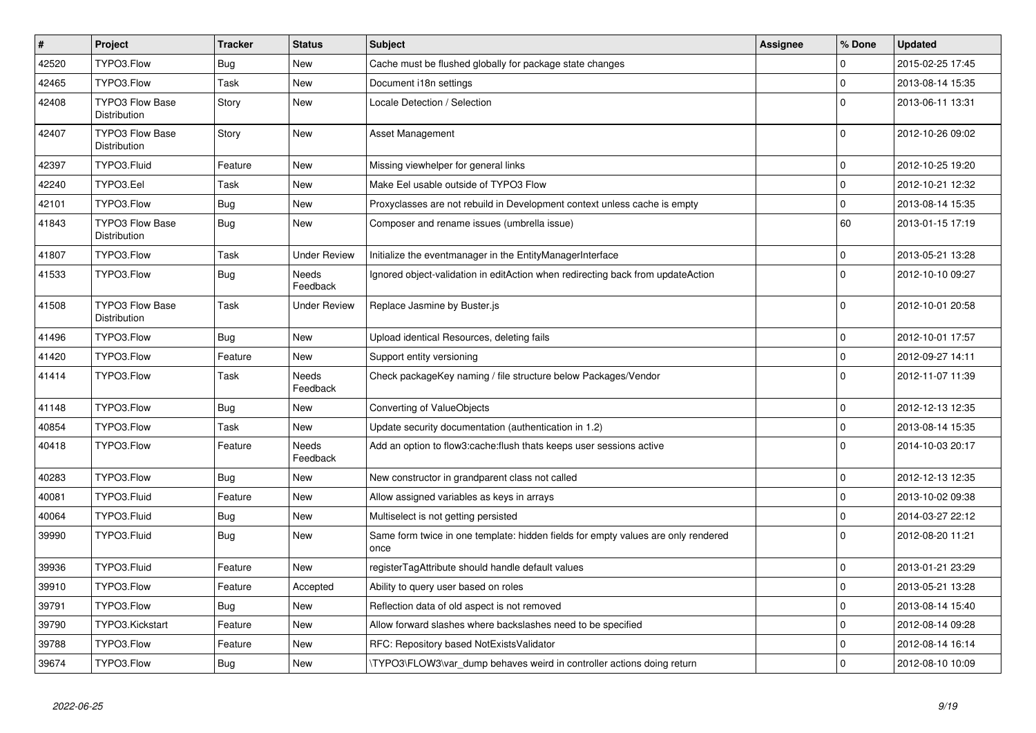| $\pmb{\#}$ | <b>Project</b>                                | <b>Tracker</b> | <b>Status</b>            | <b>Subject</b>                                                                            | Assignee | % Done       | <b>Updated</b>   |
|------------|-----------------------------------------------|----------------|--------------------------|-------------------------------------------------------------------------------------------|----------|--------------|------------------|
| 42520      | TYPO3.Flow                                    | <b>Bug</b>     | New                      | Cache must be flushed globally for package state changes                                  |          | $\mathbf 0$  | 2015-02-25 17:45 |
| 42465      | TYPO3.Flow                                    | Task           | <b>New</b>               | Document i18n settings                                                                    |          | $\Omega$     | 2013-08-14 15:35 |
| 42408      | <b>TYPO3 Flow Base</b><br>Distribution        | Story          | New                      | Locale Detection / Selection                                                              |          | $\Omega$     | 2013-06-11 13:31 |
| 42407      | TYPO3 Flow Base<br>Distribution               | Story          | New                      | Asset Management                                                                          |          | $\Omega$     | 2012-10-26 09:02 |
| 42397      | TYPO3.Fluid                                   | Feature        | New                      | Missing viewhelper for general links                                                      |          | $\Omega$     | 2012-10-25 19:20 |
| 42240      | TYPO3.Eel                                     | Task           | <b>New</b>               | Make Eel usable outside of TYPO3 Flow                                                     |          | $\Omega$     | 2012-10-21 12:32 |
| 42101      | TYPO3.Flow                                    | Bug            | New                      | Proxyclasses are not rebuild in Development context unless cache is empty                 |          | $\mathbf 0$  | 2013-08-14 15:35 |
| 41843      | <b>TYPO3 Flow Base</b><br>Distribution        | <b>Bug</b>     | New                      | Composer and rename issues (umbrella issue)                                               |          | 60           | 2013-01-15 17:19 |
| 41807      | TYPO3.Flow                                    | Task           | <b>Under Review</b>      | Initialize the eventmanager in the EntityManagerInterface                                 |          | $\mathbf 0$  | 2013-05-21 13:28 |
| 41533      | TYPO3.Flow                                    | <b>Bug</b>     | Needs<br>Feedback        | Ignored object-validation in editAction when redirecting back from updateAction           |          | $\Omega$     | 2012-10-10 09:27 |
| 41508      | <b>TYPO3 Flow Base</b><br><b>Distribution</b> | Task           | <b>Under Review</b>      | Replace Jasmine by Buster.js                                                              |          | $\Omega$     | 2012-10-01 20:58 |
| 41496      | TYPO3.Flow                                    | Bug            | <b>New</b>               | Upload identical Resources, deleting fails                                                |          | $\mathbf 0$  | 2012-10-01 17:57 |
| 41420      | TYPO3.Flow                                    | Feature        | New                      | Support entity versioning                                                                 |          | $\mathbf 0$  | 2012-09-27 14:11 |
| 41414      | TYPO3.Flow                                    | Task           | <b>Needs</b><br>Feedback | Check packageKey naming / file structure below Packages/Vendor                            |          | $\Omega$     | 2012-11-07 11:39 |
| 41148      | TYPO3.Flow                                    | <b>Bug</b>     | <b>New</b>               | Converting of ValueObjects                                                                |          | $\mathbf 0$  | 2012-12-13 12:35 |
| 40854      | TYPO3.Flow                                    | Task           | <b>New</b>               | Update security documentation (authentication in 1.2)                                     |          | $\mathbf 0$  | 2013-08-14 15:35 |
| 40418      | TYPO3.Flow                                    | Feature        | Needs<br>Feedback        | Add an option to flow3:cache: flush thats keeps user sessions active                      |          | $\mathbf 0$  | 2014-10-03 20:17 |
| 40283      | TYPO3.Flow                                    | <b>Bug</b>     | New                      | New constructor in grandparent class not called                                           |          | $\mathbf 0$  | 2012-12-13 12:35 |
| 40081      | TYPO3.Fluid                                   | Feature        | New                      | Allow assigned variables as keys in arrays                                                |          | $\mathbf 0$  | 2013-10-02 09:38 |
| 40064      | TYPO3.Fluid                                   | <b>Bug</b>     | New                      | Multiselect is not getting persisted                                                      |          | $\mathbf 0$  | 2014-03-27 22:12 |
| 39990      | TYPO3.Fluid                                   | <b>Bug</b>     | <b>New</b>               | Same form twice in one template: hidden fields for empty values are only rendered<br>once |          | $\Omega$     | 2012-08-20 11:21 |
| 39936      | TYPO3.Fluid                                   | Feature        | New                      | registerTagAttribute should handle default values                                         |          | $\mathsf{O}$ | 2013-01-21 23:29 |
| 39910      | TYPO3.Flow                                    | Feature        | Accepted                 | Ability to query user based on roles                                                      |          | $\mathbf 0$  | 2013-05-21 13:28 |
| 39791      | TYPO3.Flow                                    | Bug            | New                      | Reflection data of old aspect is not removed                                              |          | $\mathbf 0$  | 2013-08-14 15:40 |
| 39790      | TYPO3.Kickstart                               | Feature        | New                      | Allow forward slashes where backslashes need to be specified                              |          | $\mathbf 0$  | 2012-08-14 09:28 |
| 39788      | TYPO3.Flow                                    | Feature        | New                      | RFC: Repository based NotExistsValidator                                                  |          | $\mathbf 0$  | 2012-08-14 16:14 |
| 39674      | TYPO3.Flow                                    | <b>Bug</b>     | New                      | TYPO3\FLOW3\var dump behaves weird in controller actions doing return                     |          | $\mathbf 0$  | 2012-08-10 10:09 |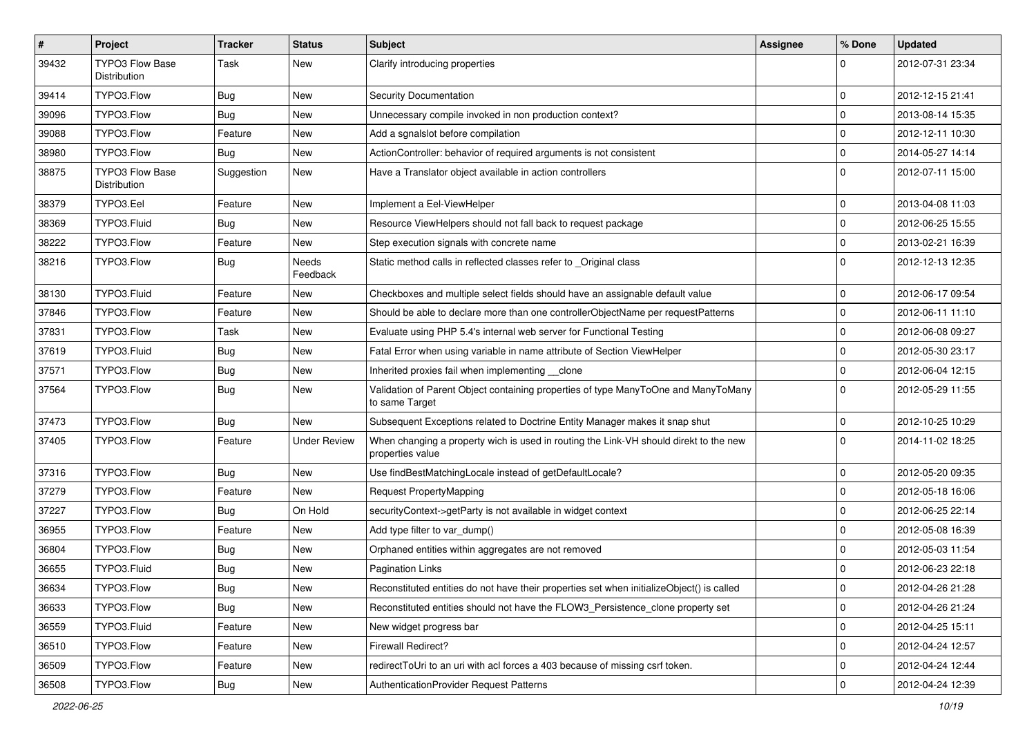| $\vert$ # | <b>Project</b>                         | Tracker    | <b>Status</b>       | Subject                                                                                                   | <b>Assignee</b> | % Done      | <b>Updated</b>   |
|-----------|----------------------------------------|------------|---------------------|-----------------------------------------------------------------------------------------------------------|-----------------|-------------|------------------|
| 39432     | <b>TYPO3 Flow Base</b><br>Distribution | Task       | New                 | Clarify introducing properties                                                                            |                 | $\Omega$    | 2012-07-31 23:34 |
| 39414     | TYPO3.Flow                             | Bug        | New                 | Security Documentation                                                                                    |                 | $\Omega$    | 2012-12-15 21:41 |
| 39096     | TYPO3.Flow                             | Bug        | New                 | Unnecessary compile invoked in non production context?                                                    |                 | $\mathbf 0$ | 2013-08-14 15:35 |
| 39088     | TYPO3.Flow                             | Feature    | New                 | Add a sgnalslot before compilation                                                                        |                 | $\mathbf 0$ | 2012-12-11 10:30 |
| 38980     | TYPO3.Flow                             | <b>Bug</b> | New                 | ActionController: behavior of required arguments is not consistent                                        |                 | $\mathbf 0$ | 2014-05-27 14:14 |
| 38875     | <b>TYPO3 Flow Base</b><br>Distribution | Suggestion | New                 | Have a Translator object available in action controllers                                                  |                 | $\Omega$    | 2012-07-11 15:00 |
| 38379     | TYPO3.Eel                              | Feature    | <b>New</b>          | Implement a Eel-ViewHelper                                                                                |                 | $\mathbf 0$ | 2013-04-08 11:03 |
| 38369     | TYPO3.Fluid                            | Bug        | New                 | Resource ViewHelpers should not fall back to request package                                              |                 | $\mathbf 0$ | 2012-06-25 15:55 |
| 38222     | TYPO3.Flow                             | Feature    | New                 | Step execution signals with concrete name                                                                 |                 | $\mathbf 0$ | 2013-02-21 16:39 |
| 38216     | TYPO3.Flow                             | Bug        | Needs<br>Feedback   | Static method calls in reflected classes refer to Original class                                          |                 | $\Omega$    | 2012-12-13 12:35 |
| 38130     | TYPO3.Fluid                            | Feature    | New                 | Checkboxes and multiple select fields should have an assignable default value                             |                 | $\mathbf 0$ | 2012-06-17 09:54 |
| 37846     | TYPO3.Flow                             | Feature    | New                 | Should be able to declare more than one controllerObjectName per requestPatterns                          |                 | $\mathbf 0$ | 2012-06-11 11:10 |
| 37831     | TYPO3.Flow                             | Task       | New                 | Evaluate using PHP 5.4's internal web server for Functional Testing                                       |                 | $\mathbf 0$ | 2012-06-08 09:27 |
| 37619     | TYPO3.Fluid                            | <b>Bug</b> | New                 | Fatal Error when using variable in name attribute of Section ViewHelper                                   |                 | $\mathbf 0$ | 2012-05-30 23:17 |
| 37571     | TYPO3.Flow                             | Bug        | New                 | Inherited proxies fail when implementing __clone                                                          |                 | $\mathbf 0$ | 2012-06-04 12:15 |
| 37564     | TYPO3.Flow                             | <b>Bug</b> | New                 | Validation of Parent Object containing properties of type ManyToOne and ManyToMany<br>to same Target      |                 | $\Omega$    | 2012-05-29 11:55 |
| 37473     | TYPO3.Flow                             | <b>Bug</b> | <b>New</b>          | Subsequent Exceptions related to Doctrine Entity Manager makes it snap shut                               |                 | $\mathbf 0$ | 2012-10-25 10:29 |
| 37405     | TYPO3.Flow                             | Feature    | <b>Under Review</b> | When changing a property wich is used in routing the Link-VH should direkt to the new<br>properties value |                 | $\Omega$    | 2014-11-02 18:25 |
| 37316     | TYPO3.Flow                             | Bug        | New                 | Use findBestMatchingLocale instead of getDefaultLocale?                                                   |                 | $\mathbf 0$ | 2012-05-20 09:35 |
| 37279     | TYPO3.Flow                             | Feature    | New                 | Request PropertyMapping                                                                                   |                 | $\mathbf 0$ | 2012-05-18 16:06 |
| 37227     | TYPO3.Flow                             | Bug        | On Hold             | securityContext->getParty is not available in widget context                                              |                 | $\mathbf 0$ | 2012-06-25 22:14 |
| 36955     | TYPO3.Flow                             | Feature    | New                 | Add type filter to var dump()                                                                             |                 | $\mathbf 0$ | 2012-05-08 16:39 |
| 36804     | TYPO3.Flow                             | <b>Bug</b> | New                 | Orphaned entities within aggregates are not removed                                                       |                 | $\Omega$    | 2012-05-03 11:54 |
| 36655     | TYPO3.Fluid                            | <b>Bug</b> | New                 | Pagination Links                                                                                          |                 | $\mathbf 0$ | 2012-06-23 22:18 |
| 36634     | TYPO3.Flow                             | Bug        | New                 | Reconstituted entities do not have their properties set when initializeObject() is called                 |                 | U           | 2012-04-26 21:28 |
| 36633     | TYPO3.Flow                             | Bug        | New                 | Reconstituted entities should not have the FLOW3_Persistence_clone property set                           |                 | $\pmb{0}$   | 2012-04-26 21:24 |
| 36559     | TYPO3.Fluid                            | Feature    | New                 | New widget progress bar                                                                                   |                 | $\mathsf 0$ | 2012-04-25 15:11 |
| 36510     | TYPO3.Flow                             | Feature    | New                 | Firewall Redirect?                                                                                        |                 | $\mathbf 0$ | 2012-04-24 12:57 |
| 36509     | TYPO3.Flow                             | Feature    | New                 | redirectToUri to an uri with acl forces a 403 because of missing csrf token.                              |                 | 0           | 2012-04-24 12:44 |
| 36508     | TYPO3.Flow                             | Bug        | New                 | AuthenticationProvider Request Patterns                                                                   |                 | $\pmb{0}$   | 2012-04-24 12:39 |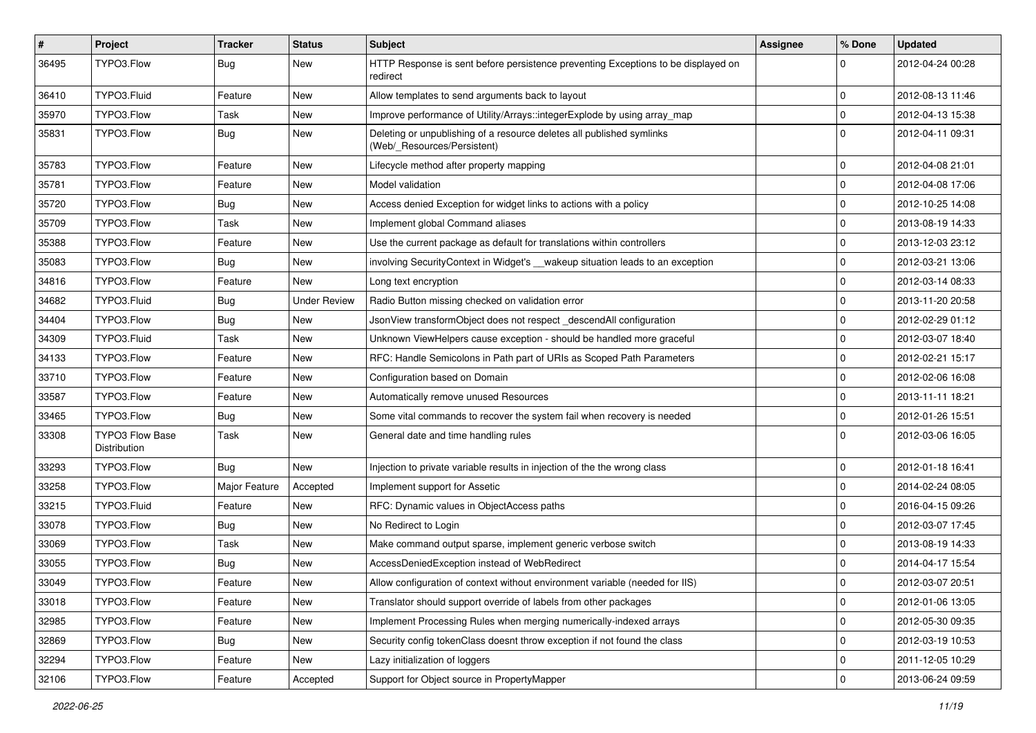| $\pmb{\#}$ | Project                                | <b>Tracker</b> | <b>Status</b>       | Subject                                                                                              | <b>Assignee</b> | % Done              | <b>Updated</b>   |
|------------|----------------------------------------|----------------|---------------------|------------------------------------------------------------------------------------------------------|-----------------|---------------------|------------------|
| 36495      | TYPO3.Flow                             | <b>Bug</b>     | New                 | HTTP Response is sent before persistence preventing Exceptions to be displayed on<br>redirect        |                 | $\Omega$            | 2012-04-24 00:28 |
| 36410      | TYPO3.Fluid                            | Feature        | New                 | Allow templates to send arguments back to layout                                                     |                 | $\mathbf 0$         | 2012-08-13 11:46 |
| 35970      | TYPO3.Flow                             | Task           | New                 | Improve performance of Utility/Arrays::integerExplode by using array_map                             |                 | $\mathbf 0$         | 2012-04-13 15:38 |
| 35831      | TYPO3.Flow                             | <b>Bug</b>     | New                 | Deleting or unpublishing of a resource deletes all published symlinks<br>(Web/_Resources/Persistent) |                 | $\Omega$            | 2012-04-11 09:31 |
| 35783      | TYPO3.Flow                             | Feature        | New                 | Lifecycle method after property mapping                                                              |                 | $\mathbf 0$         | 2012-04-08 21:01 |
| 35781      | TYPO3.Flow                             | Feature        | New                 | Model validation                                                                                     |                 | $\mathbf 0$         | 2012-04-08 17:06 |
| 35720      | TYPO3.Flow                             | <b>Bug</b>     | New                 | Access denied Exception for widget links to actions with a policy                                    |                 | $\mathbf 0$         | 2012-10-25 14:08 |
| 35709      | TYPO3.Flow                             | Task           | New                 | Implement global Command aliases                                                                     |                 | $\mathbf 0$         | 2013-08-19 14:33 |
| 35388      | TYPO3.Flow                             | Feature        | New                 | Use the current package as default for translations within controllers                               |                 | $\mathbf 0$         | 2013-12-03 23:12 |
| 35083      | TYPO3.Flow                             | Bug            | New                 | involving SecurityContext in Widget's __wakeup situation leads to an exception                       |                 | $\mathbf 0$         | 2012-03-21 13:06 |
| 34816      | TYPO3.Flow                             | Feature        | New                 | Long text encryption                                                                                 |                 | $\mathbf 0$         | 2012-03-14 08:33 |
| 34682      | TYPO3.Fluid                            | <b>Bug</b>     | <b>Under Review</b> | Radio Button missing checked on validation error                                                     |                 | $\mathbf 0$         | 2013-11-20 20:58 |
| 34404      | TYPO3.Flow                             | Bug            | New                 | JsonView transformObject does not respect _descendAll configuration                                  |                 | $\mathbf 0$         | 2012-02-29 01:12 |
| 34309      | TYPO3.Fluid                            | Task           | New                 | Unknown ViewHelpers cause exception - should be handled more graceful                                |                 | $\mathbf 0$         | 2012-03-07 18:40 |
| 34133      | TYPO3.Flow                             | Feature        | New                 | RFC: Handle Semicolons in Path part of URIs as Scoped Path Parameters                                |                 | $\mathbf 0$         | 2012-02-21 15:17 |
| 33710      | TYPO3.Flow                             | Feature        | New                 | Configuration based on Domain                                                                        |                 | $\mathbf 0$         | 2012-02-06 16:08 |
| 33587      | TYPO3.Flow                             | Feature        | New                 | Automatically remove unused Resources                                                                |                 | $\mathbf 0$         | 2013-11-11 18:21 |
| 33465      | TYPO3.Flow                             | <b>Bug</b>     | New                 | Some vital commands to recover the system fail when recovery is needed                               |                 | $\mathbf 0$         | 2012-01-26 15:51 |
| 33308      | <b>TYPO3 Flow Base</b><br>Distribution | Task           | <b>New</b>          | General date and time handling rules                                                                 |                 | $\Omega$            | 2012-03-06 16:05 |
| 33293      | TYPO3.Flow                             | Bug            | New                 | Injection to private variable results in injection of the the wrong class                            |                 | $\mathbf 0$         | 2012-01-18 16:41 |
| 33258      | TYPO3.Flow                             | Major Feature  | Accepted            | Implement support for Assetic                                                                        |                 | $\mathbf 0$         | 2014-02-24 08:05 |
| 33215      | TYPO3.Fluid                            | Feature        | New                 | RFC: Dynamic values in ObjectAccess paths                                                            |                 | $\mathbf 0$         | 2016-04-15 09:26 |
| 33078      | TYPO3.Flow                             | <b>Bug</b>     | New                 | No Redirect to Login                                                                                 |                 | $\mathbf 0$         | 2012-03-07 17:45 |
| 33069      | TYPO3.Flow                             | Task           | New                 | Make command output sparse, implement generic verbose switch                                         |                 | $\mathbf 0$         | 2013-08-19 14:33 |
| 33055      | TYPO3.Flow                             | <b>Bug</b>     | New                 | AccessDeniedException instead of WebRedirect                                                         |                 | $\mathbf 0$         | 2014-04-17 15:54 |
| 33049      | TYPO3.Flow                             | Feature        | New                 | Allow configuration of context without environment variable (needed for IIS)                         |                 | $\Omega$            | 2012-03-07 20:51 |
| 33018      | TYPO3.Flow                             | Feature        | New                 | Translator should support override of labels from other packages                                     |                 | $\mathbf 0$         | 2012-01-06 13:05 |
| 32985      | TYPO3.Flow                             | Feature        | New                 | Implement Processing Rules when merging numerically-indexed arrays                                   |                 | $\mathsf{O}\xspace$ | 2012-05-30 09:35 |
| 32869      | TYPO3.Flow                             | Bug            | New                 | Security config tokenClass doesnt throw exception if not found the class                             |                 | $\mathsf{O}\xspace$ | 2012-03-19 10:53 |
| 32294      | TYPO3.Flow                             | Feature        | New                 | Lazy initialization of loggers                                                                       |                 | 0                   | 2011-12-05 10:29 |
| 32106      | TYPO3.Flow                             | Feature        | Accepted            | Support for Object source in PropertyMapper                                                          |                 | 0                   | 2013-06-24 09:59 |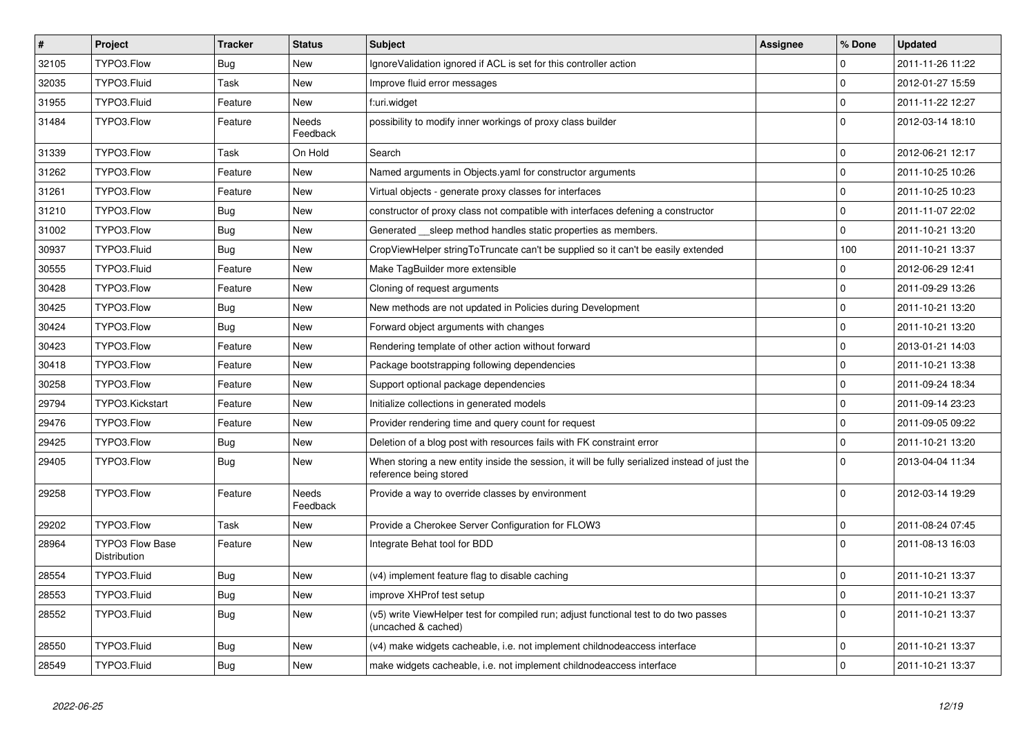| $\vert$ # | <b>Project</b>                         | <b>Tracker</b> | <b>Status</b>     | <b>Subject</b>                                                                                                          | <b>Assignee</b> | % Done      | <b>Updated</b>   |
|-----------|----------------------------------------|----------------|-------------------|-------------------------------------------------------------------------------------------------------------------------|-----------------|-------------|------------------|
| 32105     | TYPO3.Flow                             | <b>Bug</b>     | <b>New</b>        | Ignore Validation ignored if ACL is set for this controller action                                                      |                 | 0           | 2011-11-26 11:22 |
| 32035     | TYPO3.Fluid                            | Task           | <b>New</b>        | Improve fluid error messages                                                                                            |                 | $\mathbf 0$ | 2012-01-27 15:59 |
| 31955     | TYPO3.Fluid                            | Feature        | New               | f:uri.widget                                                                                                            |                 | 0           | 2011-11-22 12:27 |
| 31484     | TYPO3.Flow                             | Feature        | Needs<br>Feedback | possibility to modify inner workings of proxy class builder                                                             |                 | 0           | 2012-03-14 18:10 |
| 31339     | TYPO3.Flow                             | Task           | On Hold           | Search                                                                                                                  |                 | $\Omega$    | 2012-06-21 12:17 |
| 31262     | TYPO3.Flow                             | Feature        | New               | Named arguments in Objects yaml for constructor arguments                                                               |                 | $\mathbf 0$ | 2011-10-25 10:26 |
| 31261     | TYPO3.Flow                             | Feature        | New               | Virtual objects - generate proxy classes for interfaces                                                                 |                 | 0           | 2011-10-25 10:23 |
| 31210     | TYPO3.Flow                             | <b>Bug</b>     | <b>New</b>        | constructor of proxy class not compatible with interfaces defening a constructor                                        |                 | $\mathbf 0$ | 2011-11-07 22:02 |
| 31002     | TYPO3.Flow                             | <b>Bug</b>     | New               | Generated __sleep method handles static properties as members.                                                          |                 | 0           | 2011-10-21 13:20 |
| 30937     | TYPO3.Fluid                            | Bug            | New               | CropViewHelper stringToTruncate can't be supplied so it can't be easily extended                                        |                 | 100         | 2011-10-21 13:37 |
| 30555     | TYPO3.Fluid                            | Feature        | <b>New</b>        | Make TagBuilder more extensible                                                                                         |                 | 0           | 2012-06-29 12:41 |
| 30428     | TYPO3.Flow                             | Feature        | <b>New</b>        | Cloning of request arguments                                                                                            |                 | $\mathbf 0$ | 2011-09-29 13:26 |
| 30425     | TYPO3.Flow                             | Bug            | New               | New methods are not updated in Policies during Development                                                              |                 | $\mathbf 0$ | 2011-10-21 13:20 |
| 30424     | TYPO3.Flow                             | Bug            | New               | Forward object arguments with changes                                                                                   |                 | $\mathbf 0$ | 2011-10-21 13:20 |
| 30423     | TYPO3.Flow                             | Feature        | <b>New</b>        | Rendering template of other action without forward                                                                      |                 | $\mathbf 0$ | 2013-01-21 14:03 |
| 30418     | TYPO3.Flow                             | Feature        | <b>New</b>        | Package bootstrapping following dependencies                                                                            |                 | $\mathbf 0$ | 2011-10-21 13:38 |
| 30258     | TYPO3.Flow                             | Feature        | New               | Support optional package dependencies                                                                                   |                 | $\mathbf 0$ | 2011-09-24 18:34 |
| 29794     | TYPO3.Kickstart                        | Feature        | New               | Initialize collections in generated models                                                                              |                 | $\mathbf 0$ | 2011-09-14 23:23 |
| 29476     | TYPO3.Flow                             | Feature        | <b>New</b>        | Provider rendering time and query count for request                                                                     |                 | $\mathbf 0$ | 2011-09-05 09:22 |
| 29425     | TYPO3.Flow                             | <b>Bug</b>     | <b>New</b>        | Deletion of a blog post with resources fails with FK constraint error                                                   |                 | $\mathbf 0$ | 2011-10-21 13:20 |
| 29405     | TYPO3.Flow                             | <b>Bug</b>     | <b>New</b>        | When storing a new entity inside the session, it will be fully serialized instead of just the<br>reference being stored |                 | $\Omega$    | 2013-04-04 11:34 |
| 29258     | TYPO3.Flow                             | Feature        | Needs<br>Feedback | Provide a way to override classes by environment                                                                        |                 | $\mathbf 0$ | 2012-03-14 19:29 |
| 29202     | TYPO3.Flow                             | Task           | <b>New</b>        | Provide a Cherokee Server Configuration for FLOW3                                                                       |                 | 0           | 2011-08-24 07:45 |
| 28964     | <b>TYPO3 Flow Base</b><br>Distribution | Feature        | New               | Integrate Behat tool for BDD                                                                                            |                 | $\Omega$    | 2011-08-13 16:03 |
| 28554     | TYPO3.Fluid                            | <b>Bug</b>     | <b>New</b>        | (v4) implement feature flag to disable caching                                                                          |                 | $\Omega$    | 2011-10-21 13:37 |
| 28553     | TYPO3.Fluid                            | <b>Bug</b>     | <b>New</b>        | improve XHProf test setup                                                                                               |                 | $\Omega$    | 2011-10-21 13:37 |
| 28552     | TYPO3.Fluid                            | <b>Bug</b>     | <b>New</b>        | (v5) write ViewHelper test for compiled run; adjust functional test to do two passes<br>(uncached & cached)             |                 | $\Omega$    | 2011-10-21 13:37 |
| 28550     | TYPO3.Fluid                            | Bug            | <b>New</b>        | (v4) make widgets cacheable, i.e. not implement childnodeaccess interface                                               |                 | $\mathbf 0$ | 2011-10-21 13:37 |
| 28549     | TYPO3.Fluid                            | <b>Bug</b>     | <b>New</b>        | make widgets cacheable, i.e. not implement childnodeaccess interface                                                    |                 | $\Omega$    | 2011-10-21 13:37 |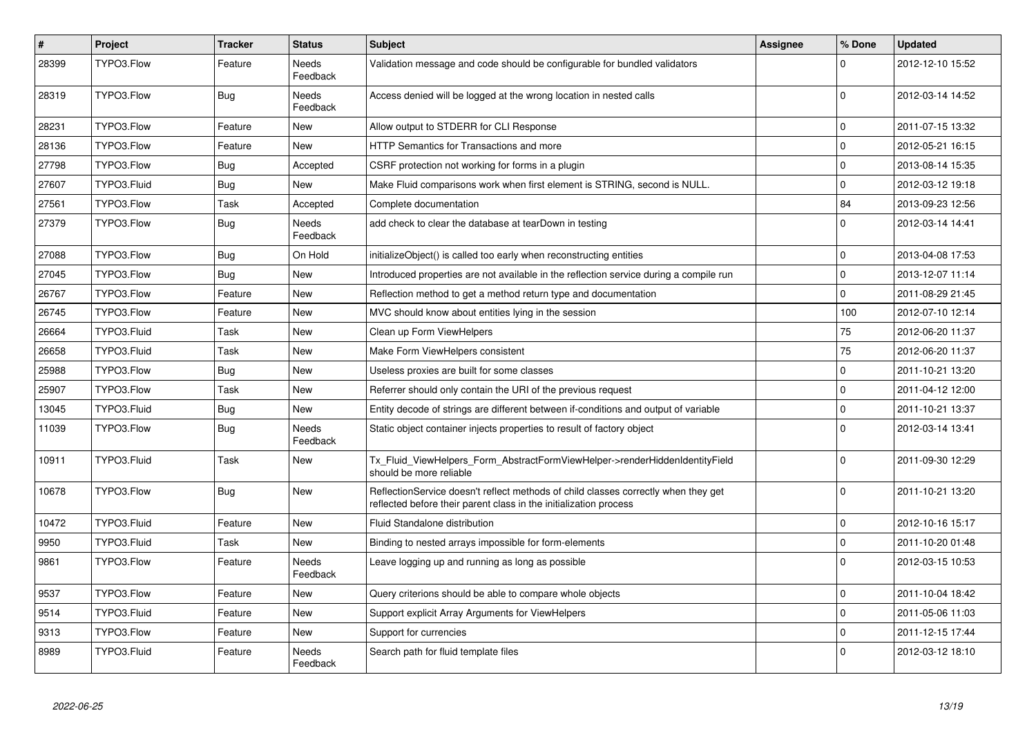| $\sharp$ | Project     | <b>Tracker</b> | <b>Status</b>            | <b>Subject</b>                                                                                                                                          | <b>Assignee</b> | % Done      | <b>Updated</b>   |
|----------|-------------|----------------|--------------------------|---------------------------------------------------------------------------------------------------------------------------------------------------------|-----------------|-------------|------------------|
| 28399    | TYPO3.Flow  | Feature        | Needs<br>Feedback        | Validation message and code should be configurable for bundled validators                                                                               |                 | $\Omega$    | 2012-12-10 15:52 |
| 28319    | TYPO3.Flow  | Bug            | Needs<br>Feedback        | Access denied will be logged at the wrong location in nested calls                                                                                      |                 | $\Omega$    | 2012-03-14 14:52 |
| 28231    | TYPO3.Flow  | Feature        | <b>New</b>               | Allow output to STDERR for CLI Response                                                                                                                 |                 | $\Omega$    | 2011-07-15 13:32 |
| 28136    | TYPO3.Flow  | Feature        | New                      | HTTP Semantics for Transactions and more                                                                                                                |                 | $\mathbf 0$ | 2012-05-21 16:15 |
| 27798    | TYPO3.Flow  | <b>Bug</b>     | Accepted                 | CSRF protection not working for forms in a plugin                                                                                                       |                 | $\Omega$    | 2013-08-14 15:35 |
| 27607    | TYPO3.Fluid | Bug            | <b>New</b>               | Make Fluid comparisons work when first element is STRING, second is NULL.                                                                               |                 | $\Omega$    | 2012-03-12 19:18 |
| 27561    | TYPO3.Flow  | Task           | Accepted                 | Complete documentation                                                                                                                                  |                 | 84          | 2013-09-23 12:56 |
| 27379    | TYPO3.Flow  | <b>Bug</b>     | Needs<br>Feedback        | add check to clear the database at tearDown in testing                                                                                                  |                 | $\Omega$    | 2012-03-14 14:41 |
| 27088    | TYPO3.Flow  | Bug            | On Hold                  | initializeObject() is called too early when reconstructing entities                                                                                     |                 | $\Omega$    | 2013-04-08 17:53 |
| 27045    | TYPO3.Flow  | Bug            | <b>New</b>               | Introduced properties are not available in the reflection service during a compile run                                                                  |                 | $\Omega$    | 2013-12-07 11:14 |
| 26767    | TYPO3.Flow  | Feature        | <b>New</b>               | Reflection method to get a method return type and documentation                                                                                         |                 | $\Omega$    | 2011-08-29 21:45 |
| 26745    | TYPO3.Flow  | Feature        | New                      | MVC should know about entities lying in the session                                                                                                     |                 | 100         | 2012-07-10 12:14 |
| 26664    | TYPO3.Fluid | Task           | <b>New</b>               | Clean up Form ViewHelpers                                                                                                                               |                 | 75          | 2012-06-20 11:37 |
| 26658    | TYPO3.Fluid | Task           | New                      | Make Form ViewHelpers consistent                                                                                                                        |                 | 75          | 2012-06-20 11:37 |
| 25988    | TYPO3.Flow  | Bug            | New                      | Useless proxies are built for some classes                                                                                                              |                 | $\mathbf 0$ | 2011-10-21 13:20 |
| 25907    | TYPO3.Flow  | Task           | <b>New</b>               | Referrer should only contain the URI of the previous request                                                                                            |                 | $\Omega$    | 2011-04-12 12:00 |
| 13045    | TYPO3.Fluid | Bug            | <b>New</b>               | Entity decode of strings are different between if-conditions and output of variable                                                                     |                 | $\mathbf 0$ | 2011-10-21 13:37 |
| 11039    | TYPO3.Flow  | Bug            | Needs<br>Feedback        | Static object container injects properties to result of factory object                                                                                  |                 | $\Omega$    | 2012-03-14 13:41 |
| 10911    | TYPO3.Fluid | Task           | <b>New</b>               | Tx Fluid ViewHelpers Form AbstractFormViewHelper->renderHiddenIdentityField<br>should be more reliable                                                  |                 | $\Omega$    | 2011-09-30 12:29 |
| 10678    | TYPO3.Flow  | <b>Bug</b>     | <b>New</b>               | ReflectionService doesn't reflect methods of child classes correctly when they get<br>reflected before their parent class in the initialization process |                 | $\Omega$    | 2011-10-21 13:20 |
| 10472    | TYPO3.Fluid | Feature        | <b>New</b>               | Fluid Standalone distribution                                                                                                                           |                 | $\mathbf 0$ | 2012-10-16 15:17 |
| 9950     | TYPO3.Fluid | Task           | <b>New</b>               | Binding to nested arrays impossible for form-elements                                                                                                   |                 | $\Omega$    | 2011-10-20 01:48 |
| 9861     | TYPO3.Flow  | Feature        | <b>Needs</b><br>Feedback | Leave logging up and running as long as possible                                                                                                        |                 | $\Omega$    | 2012-03-15 10:53 |
| 9537     | TYPO3.Flow  | Feature        | <b>New</b>               | Query criterions should be able to compare whole objects                                                                                                |                 | $\Omega$    | 2011-10-04 18:42 |
| 9514     | TYPO3.Fluid | Feature        | <b>New</b>               | Support explicit Array Arguments for ViewHelpers                                                                                                        |                 | $\mathbf 0$ | 2011-05-06 11:03 |
| 9313     | TYPO3.Flow  | Feature        | <b>New</b>               | Support for currencies                                                                                                                                  |                 | $\mathbf 0$ | 2011-12-15 17:44 |
| 8989     | TYPO3.Fluid | Feature        | Needs<br>Feedback        | Search path for fluid template files                                                                                                                    |                 | $\Omega$    | 2012-03-12 18:10 |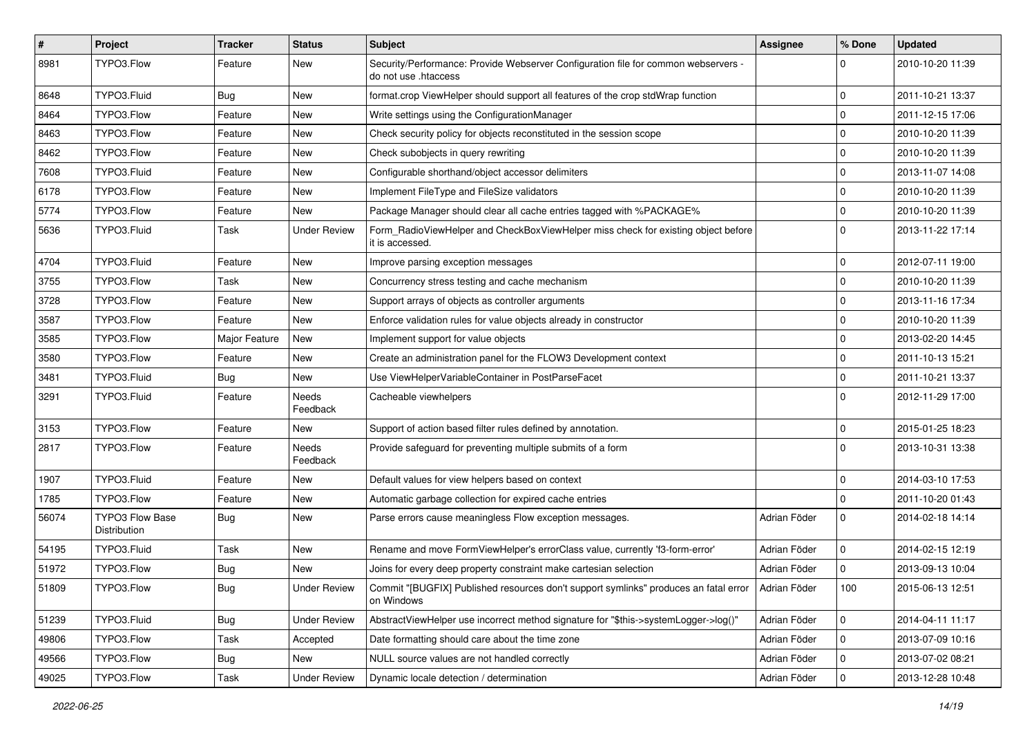| $\vert$ # | Project                         | <b>Tracker</b> | <b>Status</b>       | Subject                                                                                                         | <b>Assignee</b> | % Done      | <b>Updated</b>   |
|-----------|---------------------------------|----------------|---------------------|-----------------------------------------------------------------------------------------------------------------|-----------------|-------------|------------------|
| 8981      | TYPO3.Flow                      | Feature        | New                 | Security/Performance: Provide Webserver Configuration file for common webservers -<br>do not use .htaccess      |                 | 0           | 2010-10-20 11:39 |
| 8648      | TYPO3.Fluid                     | <b>Bug</b>     | New                 | format.crop ViewHelper should support all features of the crop stdWrap function                                 |                 | $\mathbf 0$ | 2011-10-21 13:37 |
| 8464      | TYPO3.Flow                      | Feature        | New                 | Write settings using the ConfigurationManager                                                                   |                 | $\mathbf 0$ | 2011-12-15 17:06 |
| 8463      | TYPO3.Flow                      | Feature        | New                 | Check security policy for objects reconstituted in the session scope                                            |                 | 0           | 2010-10-20 11:39 |
| 8462      | TYPO3.Flow                      | Feature        | New                 | Check subobjects in query rewriting                                                                             |                 | 0           | 2010-10-20 11:39 |
| 7608      | TYPO3.Fluid                     | Feature        | New                 | Configurable shorthand/object accessor delimiters                                                               |                 | $\mathbf 0$ | 2013-11-07 14:08 |
| 6178      | TYPO3.Flow                      | Feature        | New                 | Implement FileType and FileSize validators                                                                      |                 | 0           | 2010-10-20 11:39 |
| 5774      | TYPO3.Flow                      | Feature        | New                 | Package Manager should clear all cache entries tagged with %PACKAGE%                                            |                 | $\mathbf 0$ | 2010-10-20 11:39 |
| 5636      | TYPO3.Fluid                     | Task           | <b>Under Review</b> | Form_RadioViewHelper and CheckBoxViewHelper miss check for existing object before<br>it is accessed.            |                 | $\Omega$    | 2013-11-22 17:14 |
| 4704      | TYPO3.Fluid                     | Feature        | New                 | Improve parsing exception messages                                                                              |                 | $\mathbf 0$ | 2012-07-11 19:00 |
| 3755      | TYPO3.Flow                      | Task           | New                 | Concurrency stress testing and cache mechanism                                                                  |                 | $\mathbf 0$ | 2010-10-20 11:39 |
| 3728      | TYPO3.Flow                      | Feature        | New                 | Support arrays of objects as controller arguments                                                               |                 | 0           | 2013-11-16 17:34 |
| 3587      | TYPO3.Flow                      | Feature        | New                 | Enforce validation rules for value objects already in constructor                                               |                 | $\mathbf 0$ | 2010-10-20 11:39 |
| 3585      | TYPO3.Flow                      | Major Feature  | New                 | Implement support for value objects                                                                             |                 | $\mathbf 0$ | 2013-02-20 14:45 |
| 3580      | TYPO3.Flow                      | Feature        | New                 | Create an administration panel for the FLOW3 Development context                                                |                 | $\mathbf 0$ | 2011-10-13 15:21 |
| 3481      | TYPO3.Fluid                     | <b>Bug</b>     | New                 | Use ViewHelperVariableContainer in PostParseFacet                                                               |                 | 0           | 2011-10-21 13:37 |
| 3291      | TYPO3.Fluid                     | Feature        | Needs<br>Feedback   | Cacheable viewhelpers                                                                                           |                 | $\Omega$    | 2012-11-29 17:00 |
| 3153      | TYPO3.Flow                      | Feature        | New                 | Support of action based filter rules defined by annotation.                                                     |                 | $\mathbf 0$ | 2015-01-25 18:23 |
| 2817      | TYPO3.Flow                      | Feature        | Needs<br>Feedback   | Provide safeguard for preventing multiple submits of a form                                                     |                 | $\Omega$    | 2013-10-31 13:38 |
| 1907      | TYPO3.Fluid                     | Feature        | New                 | Default values for view helpers based on context                                                                |                 | 0           | 2014-03-10 17:53 |
| 1785      | TYPO3.Flow                      | Feature        | New                 | Automatic garbage collection for expired cache entries                                                          |                 | $\mathbf 0$ | 2011-10-20 01:43 |
| 56074     | TYPO3 Flow Base<br>Distribution | Bug            | New                 | Parse errors cause meaningless Flow exception messages.                                                         | Adrian Föder    | $\Omega$    | 2014-02-18 14:14 |
| 54195     | TYPO3.Fluid                     | Task           | New                 | Rename and move FormViewHelper's errorClass value, currently 'f3-form-error'                                    | Adrian Föder    | $\mathbf 0$ | 2014-02-15 12:19 |
| 51972     | TYPO3.Flow                      | <b>Bug</b>     | New                 | Joins for every deep property constraint make cartesian selection                                               | Adrian Föder    | 0           | 2013-09-13 10:04 |
| 51809     | TYPO3.Flow                      | <b>Bug</b>     | <b>Under Review</b> | Commit "[BUGFIX] Published resources don't support symlinks" produces an fatal error Adrian Föder<br>on Windows |                 | 100         | 2015-06-13 12:51 |
| 51239     | TYPO3.Fluid                     | Bug            | <b>Under Review</b> | AbstractViewHelper use incorrect method signature for "\$this->systemLogger->log()"                             | Adrian Föder    | $\mathbf 0$ | 2014-04-11 11:17 |
| 49806     | TYPO3.Flow                      | Task           | Accepted            | Date formatting should care about the time zone                                                                 | Adrian Föder    | 0           | 2013-07-09 10:16 |
| 49566     | TYPO3.Flow                      | Bug            | New                 | NULL source values are not handled correctly                                                                    | Adrian Föder    | 0           | 2013-07-02 08:21 |
| 49025     | TYPO3.Flow                      | Task           | <b>Under Review</b> | Dynamic locale detection / determination                                                                        | Adrian Föder    | 0           | 2013-12-28 10:48 |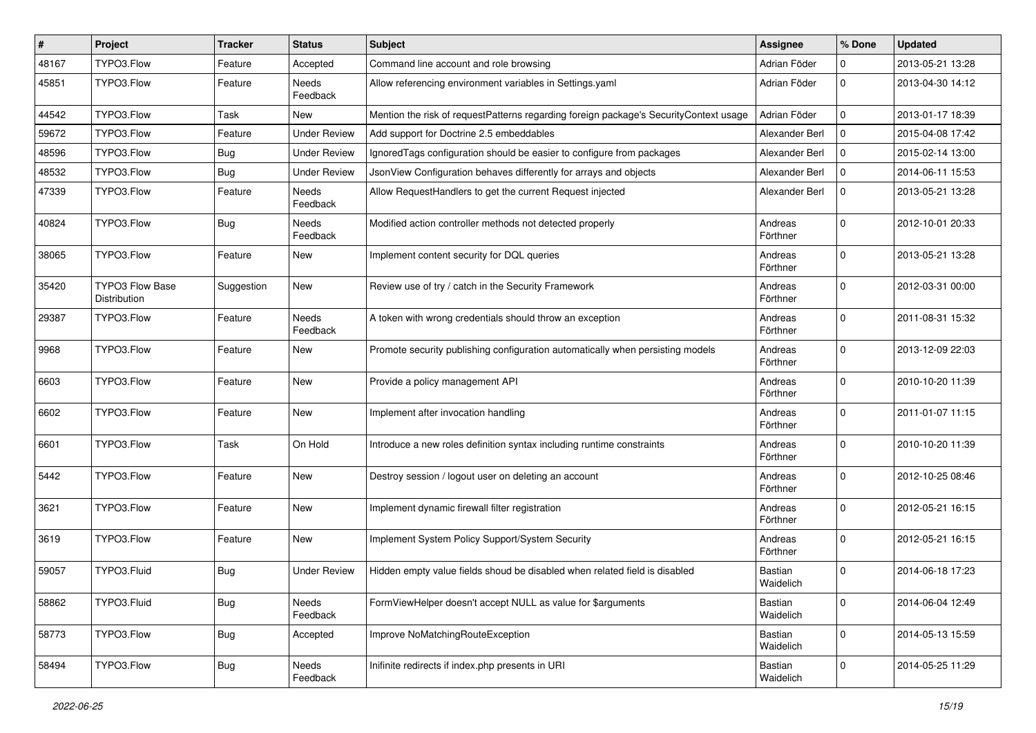| #     | Project                                | <b>Tracker</b> | <b>Status</b>            | <b>Subject</b>                                                                        | <b>Assignee</b>      | % Done       | <b>Updated</b>   |
|-------|----------------------------------------|----------------|--------------------------|---------------------------------------------------------------------------------------|----------------------|--------------|------------------|
| 48167 | TYPO3.Flow                             | Feature        | Accepted                 | Command line account and role browsing                                                | Adrian Föder         | 0            | 2013-05-21 13:28 |
| 45851 | TYPO3.Flow                             | Feature        | <b>Needs</b><br>Feedback | Allow referencing environment variables in Settings.yaml                              | Adrian Föder         | $\Omega$     | 2013-04-30 14:12 |
| 44542 | TYPO3.Flow                             | Task           | New                      | Mention the risk of requestPatterns regarding foreign package's SecurityContext usage | Adrian Föder         | $\mathbf 0$  | 2013-01-17 18:39 |
| 59672 | TYPO3.Flow                             | Feature        | <b>Under Review</b>      | Add support for Doctrine 2.5 embeddables                                              | Alexander Berl       | $\mathbf 0$  | 2015-04-08 17:42 |
| 48596 | TYPO3.Flow                             | Bug            | <b>Under Review</b>      | Ignored Tags configuration should be easier to configure from packages                | Alexander Berl       | $\mathbf 0$  | 2015-02-14 13:00 |
| 48532 | TYPO3.Flow                             | Bug            | <b>Under Review</b>      | JsonView Configuration behaves differently for arrays and objects                     | Alexander Berl       | $\mathbf 0$  | 2014-06-11 15:53 |
| 47339 | TYPO3.Flow                             | Feature        | <b>Needs</b><br>Feedback | Allow RequestHandlers to get the current Request injected                             | Alexander Berl       | $\mathbf 0$  | 2013-05-21 13:28 |
| 40824 | TYPO3.Flow                             | Bug            | <b>Needs</b><br>Feedback | Modified action controller methods not detected properly                              | Andreas<br>Förthner  | $\Omega$     | 2012-10-01 20:33 |
| 38065 | TYPO3.Flow                             | Feature        | New                      | Implement content security for DQL queries                                            | Andreas<br>Förthner  | $\Omega$     | 2013-05-21 13:28 |
| 35420 | <b>TYPO3 Flow Base</b><br>Distribution | Suggestion     | New                      | Review use of try / catch in the Security Framework                                   | Andreas<br>Förthner  | $\mathbf 0$  | 2012-03-31 00:00 |
| 29387 | TYPO3.Flow                             | Feature        | Needs<br>Feedback        | A token with wrong credentials should throw an exception                              | Andreas<br>Förthner  | $\mathbf 0$  | 2011-08-31 15:32 |
| 9968  | TYPO3.Flow                             | Feature        | New                      | Promote security publishing configuration automatically when persisting models        | Andreas<br>Förthner  | $\Omega$     | 2013-12-09 22:03 |
| 6603  | TYPO3.Flow                             | Feature        | New                      | Provide a policy management API                                                       | Andreas<br>Förthner  | $\Omega$     | 2010-10-20 11:39 |
| 6602  | TYPO3.Flow                             | Feature        | New                      | Implement after invocation handling                                                   | Andreas<br>Förthner  | $\Omega$     | 2011-01-07 11:15 |
| 6601  | TYPO3.Flow                             | Task           | On Hold                  | Introduce a new roles definition syntax including runtime constraints                 | Andreas<br>Förthner  | $\Omega$     | 2010-10-20 11:39 |
| 5442  | TYPO3.Flow                             | Feature        | New                      | Destroy session / logout user on deleting an account                                  | Andreas<br>Förthner  | $\Omega$     | 2012-10-25 08:46 |
| 3621  | TYPO3.Flow                             | Feature        | New                      | Implement dynamic firewall filter registration                                        | Andreas<br>Förthner  | $\mathbf 0$  | 2012-05-21 16:15 |
| 3619  | TYPO3.Flow                             | Feature        | New                      | Implement System Policy Support/System Security                                       | Andreas<br>Förthner  | $\mathbf 0$  | 2012-05-21 16:15 |
| 59057 | TYPO3.Fluid                            | Bug            | <b>Under Review</b>      | Hidden empty value fields shoud be disabled when related field is disabled            | Bastian<br>Waidelich | $\Omega$     | 2014-06-18 17:23 |
| 58862 | TYPO3.Fluid                            | <b>Bug</b>     | Needs<br>Feedback        | FormViewHelper doesn't accept NULL as value for \$arguments                           | Bastian<br>Waidelich | $\mathsf{O}$ | 2014-06-04 12:49 |
| 58773 | TYPO3.Flow                             | <b>Bug</b>     | Accepted                 | Improve NoMatchingRouteException                                                      | Bastian<br>Waidelich | $\mathbf 0$  | 2014-05-13 15:59 |
| 58494 | TYPO3.Flow                             | Bug            | Needs<br>Feedback        | Inifinite redirects if index.php presents in URI                                      | Bastian<br>Waidelich | $\mathbf 0$  | 2014-05-25 11:29 |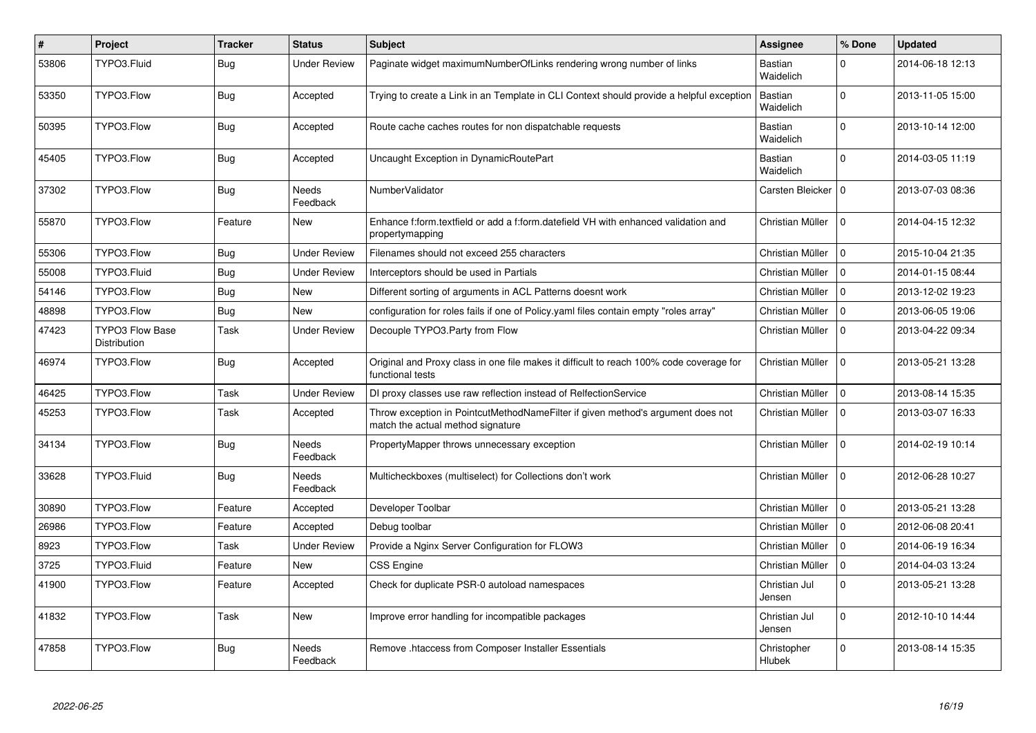| $\vert$ # | Project                                | <b>Tracker</b> | <b>Status</b>            | <b>Subject</b>                                                                                                       | Assignee                    | % Done         | <b>Updated</b>   |
|-----------|----------------------------------------|----------------|--------------------------|----------------------------------------------------------------------------------------------------------------------|-----------------------------|----------------|------------------|
| 53806     | TYPO3.Fluid                            | <b>Bug</b>     | Under Review             | Paginate widget maximumNumberOfLinks rendering wrong number of links                                                 | Bastian<br>Waidelich        | $\Omega$       | 2014-06-18 12:13 |
| 53350     | TYPO3.Flow                             | Bug            | Accepted                 | Trying to create a Link in an Template in CLI Context should provide a helpful exception                             | Bastian<br>Waidelich        | $\mathbf 0$    | 2013-11-05 15:00 |
| 50395     | TYPO3.Flow                             | <b>Bug</b>     | Accepted                 | Route cache caches routes for non dispatchable requests                                                              | Bastian<br>Waidelich        | $\Omega$       | 2013-10-14 12:00 |
| 45405     | TYPO3.Flow                             | Bug            | Accepted                 | Uncaught Exception in DynamicRoutePart                                                                               | <b>Bastian</b><br>Waidelich | $\Omega$       | 2014-03-05 11:19 |
| 37302     | TYPO3.Flow                             | <b>Bug</b>     | Needs<br>Feedback        | NumberValidator                                                                                                      | Carsten Bleicker   0        |                | 2013-07-03 08:36 |
| 55870     | TYPO3.Flow                             | Feature        | <b>New</b>               | Enhance f:form.textfield or add a f:form.datefield VH with enhanced validation and<br>propertymapping                | Christian Müller            | $\Omega$       | 2014-04-15 12:32 |
| 55306     | TYPO3.Flow                             | <b>Bug</b>     | <b>Under Review</b>      | Filenames should not exceed 255 characters                                                                           | Christian Müller            | 0 I            | 2015-10-04 21:35 |
| 55008     | TYPO3.Fluid                            | <b>Bug</b>     | <b>Under Review</b>      | Interceptors should be used in Partials                                                                              | Christian Müller            | $\Omega$       | 2014-01-15 08:44 |
| 54146     | TYPO3.Flow                             | <b>Bug</b>     | <b>New</b>               | Different sorting of arguments in ACL Patterns doesnt work                                                           | Christian Müller            | 0 I            | 2013-12-02 19:23 |
| 48898     | TYPO3.Flow                             | <b>Bug</b>     | <b>New</b>               | configuration for roles fails if one of Policy yaml files contain empty "roles array"                                | Christian Müller            | $\overline{0}$ | 2013-06-05 19:06 |
| 47423     | <b>TYPO3 Flow Base</b><br>Distribution | Task           | <b>Under Review</b>      | Decouple TYPO3.Party from Flow                                                                                       | Christian Müller            | $\Omega$       | 2013-04-22 09:34 |
| 46974     | TYPO3.Flow                             | <b>Bug</b>     | Accepted                 | Original and Proxy class in one file makes it difficult to reach 100% code coverage for<br>functional tests          | Christian Müller            | $\Omega$       | 2013-05-21 13:28 |
| 46425     | TYPO3.Flow                             | Task           | <b>Under Review</b>      | DI proxy classes use raw reflection instead of RelfectionService                                                     | Christian Müller            | 0              | 2013-08-14 15:35 |
| 45253     | TYPO3.Flow                             | Task           | Accepted                 | Throw exception in PointcutMethodNameFilter if given method's argument does not<br>match the actual method signature | Christian Müller            | l 0            | 2013-03-07 16:33 |
| 34134     | TYPO3.Flow                             | <b>Bug</b>     | Needs<br>Feedback        | PropertyMapper throws unnecessary exception                                                                          | Christian Müller            | $\Omega$       | 2014-02-19 10:14 |
| 33628     | TYPO3.Fluid                            | <b>Bug</b>     | <b>Needs</b><br>Feedback | Multicheckboxes (multiselect) for Collections don't work                                                             | Christian Müller            | O              | 2012-06-28 10:27 |
| 30890     | TYPO3.Flow                             | Feature        | Accepted                 | Developer Toolbar                                                                                                    | Christian Müller            | l O            | 2013-05-21 13:28 |
| 26986     | TYPO3.Flow                             | Feature        | Accepted                 | Debug toolbar                                                                                                        | Christian Müller            | $\Omega$       | 2012-06-08 20:41 |
| 8923      | TYPO3.Flow                             | Task           | Under Review             | Provide a Nginx Server Configuration for FLOW3                                                                       | Christian Müller            | 0              | 2014-06-19 16:34 |
| 3725      | TYPO3.Fluid                            | Feature        | New                      | <b>CSS Engine</b>                                                                                                    | Christian Müller            | $\mathbf 0$    | 2014-04-03 13:24 |
| 41900     | TYPO3.Flow                             | Feature        | Accepted                 | Check for duplicate PSR-0 autoload namespaces                                                                        | Christian Jul<br>Jensen     | $\mathbf 0$    | 2013-05-21 13:28 |
| 41832     | TYPO3.Flow                             | Task           | <b>New</b>               | Improve error handling for incompatible packages                                                                     | Christian Jul<br>Jensen     | $\mathbf 0$    | 2012-10-10 14:44 |
| 47858     | TYPO3.Flow                             | <b>Bug</b>     | Needs<br>Feedback        | Remove .htaccess from Composer Installer Essentials                                                                  | Christopher<br>Hlubek       | $\Omega$       | 2013-08-14 15:35 |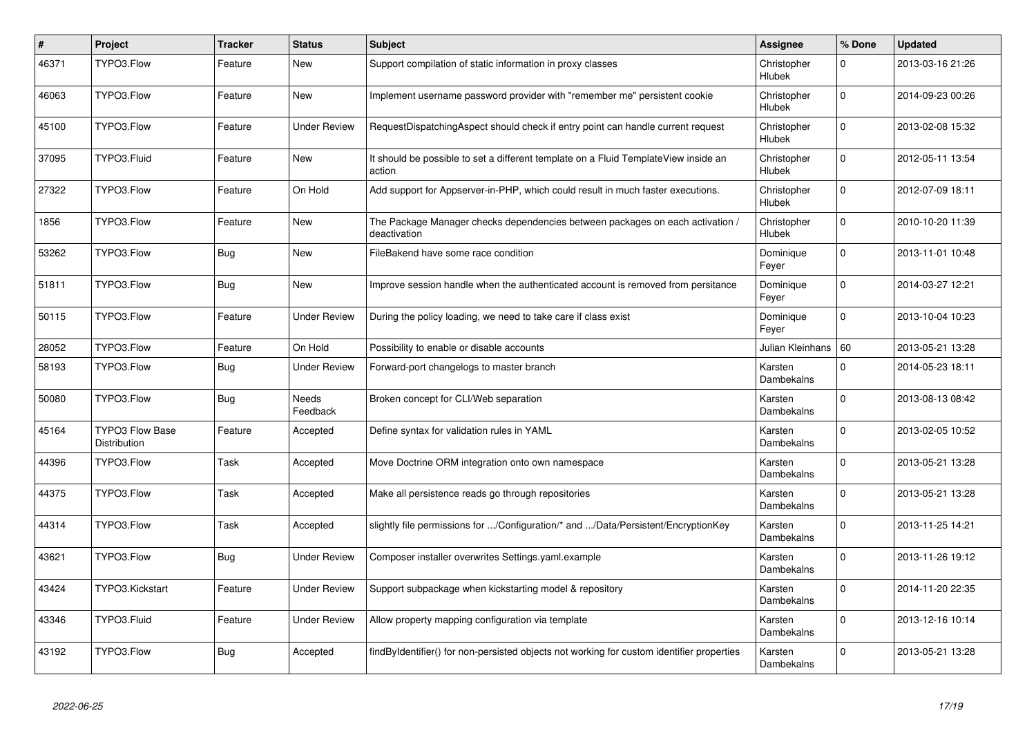| $\#$  | Project                                | <b>Tracker</b> | <b>Status</b>       | <b>Subject</b>                                                                                | Assignee                     | % Done       | <b>Updated</b>   |
|-------|----------------------------------------|----------------|---------------------|-----------------------------------------------------------------------------------------------|------------------------------|--------------|------------------|
| 46371 | TYPO3.Flow                             | Feature        | New                 | Support compilation of static information in proxy classes                                    | Christopher<br>Hlubek        | 0            | 2013-03-16 21:26 |
| 46063 | TYPO3.Flow                             | Feature        | New                 | Implement username password provider with "remember me" persistent cookie                     | Christopher<br>Hlubek        | $\Omega$     | 2014-09-23 00:26 |
| 45100 | TYPO3.Flow                             | Feature        | <b>Under Review</b> | RequestDispatchingAspect should check if entry point can handle current request               | Christopher<br>Hlubek        | $\Omega$     | 2013-02-08 15:32 |
| 37095 | TYPO3.Fluid                            | Feature        | New                 | It should be possible to set a different template on a Fluid TemplateView inside an<br>action | Christopher<br>Hlubek        | $\Omega$     | 2012-05-11 13:54 |
| 27322 | TYPO3.Flow                             | Feature        | On Hold             | Add support for Appserver-in-PHP, which could result in much faster executions.               | Christopher<br>Hlubek        | $\mathbf{0}$ | 2012-07-09 18:11 |
| 1856  | TYPO3.Flow                             | Feature        | <b>New</b>          | The Package Manager checks dependencies between packages on each activation /<br>deactivation | Christopher<br>Hlubek        | $\Omega$     | 2010-10-20 11:39 |
| 53262 | TYPO3.Flow                             | <b>Bug</b>     | New                 | FileBakend have some race condition                                                           | Dominique<br>Feyer           | $\Omega$     | 2013-11-01 10:48 |
| 51811 | TYPO3.Flow                             | Bug            | <b>New</b>          | Improve session handle when the authenticated account is removed from persitance              | Dominique<br>Feyer           | $\mathbf 0$  | 2014-03-27 12:21 |
| 50115 | TYPO3.Flow                             | Feature        | <b>Under Review</b> | During the policy loading, we need to take care if class exist                                | Dominique<br>Feyer           | $\Omega$     | 2013-10-04 10:23 |
| 28052 | TYPO3.Flow                             | Feature        | On Hold             | Possibility to enable or disable accounts                                                     | Julian Kleinhans   60        |              | 2013-05-21 13:28 |
| 58193 | TYPO3.Flow                             | Bug            | Under Review        | Forward-port changelogs to master branch                                                      | Karsten<br>Dambekalns        | $\Omega$     | 2014-05-23 18:11 |
| 50080 | TYPO3.Flow                             | <b>Bug</b>     | Needs<br>Feedback   | Broken concept for CLI/Web separation                                                         | Karsten<br><b>Dambekalns</b> | $\Omega$     | 2013-08-13 08:42 |
| 45164 | <b>TYPO3 Flow Base</b><br>Distribution | Feature        | Accepted            | Define syntax for validation rules in YAML                                                    | Karsten<br>Dambekalns        | $\Omega$     | 2013-02-05 10:52 |
| 44396 | TYPO3.Flow                             | Task           | Accepted            | Move Doctrine ORM integration onto own namespace                                              | Karsten<br>Dambekalns        | $\Omega$     | 2013-05-21 13:28 |
| 44375 | TYPO3.Flow                             | Task           | Accepted            | Make all persistence reads go through repositories                                            | Karsten<br>Dambekalns        | $\Omega$     | 2013-05-21 13:28 |
| 44314 | TYPO3.Flow                             | Task           | Accepted            | slightly file permissions for /Configuration/* and /Data/Persistent/EncryptionKey             | Karsten<br>Dambekalns        | $\mathbf 0$  | 2013-11-25 14:21 |
| 43621 | TYPO3.Flow                             | <b>Bug</b>     | Under Review        | Composer installer overwrites Settings.yaml.example                                           | Karsten<br>Dambekalns        | $\Omega$     | 2013-11-26 19:12 |
| 43424 | TYPO3.Kickstart                        | Feature        | Under Review        | Support subpackage when kickstarting model & repository                                       | Karsten<br>Dambekalns        | $\Omega$     | 2014-11-20 22:35 |
| 43346 | TYPO3.Fluid                            | Feature        | Under Review        | Allow property mapping configuration via template                                             | Karsten<br>Dambekalns        | $\Omega$     | 2013-12-16 10:14 |
| 43192 | TYPO3.Flow                             | Bug            | Accepted            | findByIdentifier() for non-persisted objects not working for custom identifier properties     | Karsten<br>Dambekalns        | $\mathbf 0$  | 2013-05-21 13:28 |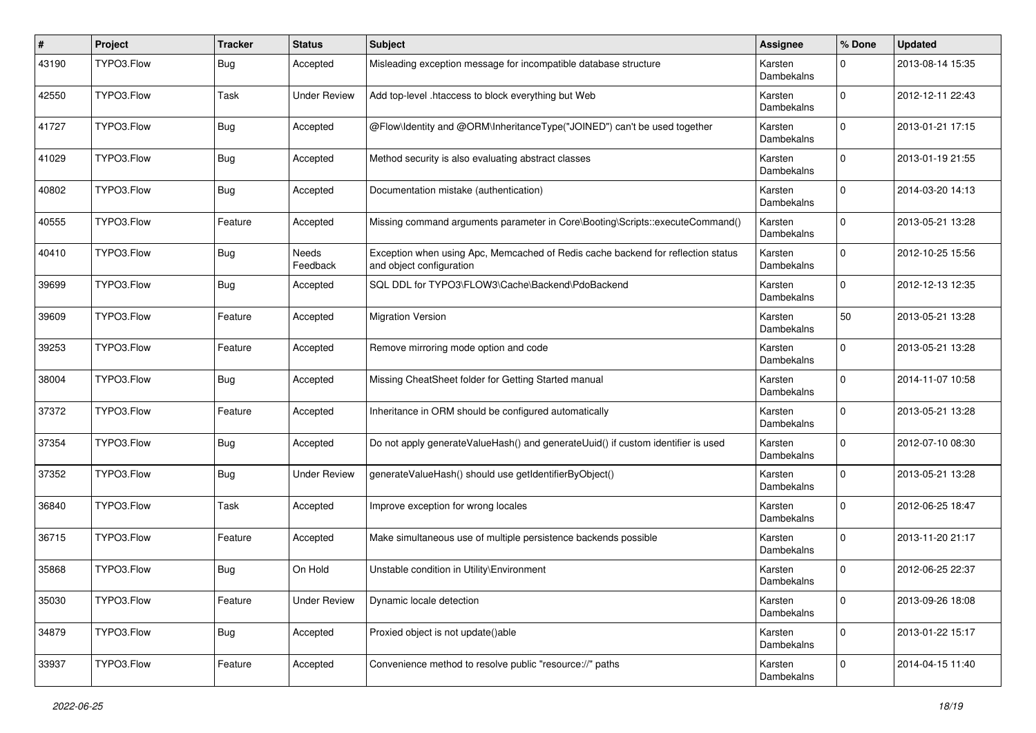| ∦     | Project    | <b>Tracker</b> | <b>Status</b>            | Subject                                                                                                      | <b>Assignee</b>       | % Done      | <b>Updated</b>   |
|-------|------------|----------------|--------------------------|--------------------------------------------------------------------------------------------------------------|-----------------------|-------------|------------------|
| 43190 | TYPO3.Flow | <b>Bug</b>     | Accepted                 | Misleading exception message for incompatible database structure                                             | Karsten<br>Dambekalns | $\Omega$    | 2013-08-14 15:35 |
| 42550 | TYPO3.Flow | Task           | <b>Under Review</b>      | Add top-level .htaccess to block everything but Web                                                          | Karsten<br>Dambekalns | $\Omega$    | 2012-12-11 22:43 |
| 41727 | TYPO3.Flow | <b>Bug</b>     | Accepted                 | @Flow\ldentity and @ORM\InheritanceType("JOINED") can't be used together                                     | Karsten<br>Dambekalns | $\Omega$    | 2013-01-21 17:15 |
| 41029 | TYPO3.Flow | Bug            | Accepted                 | Method security is also evaluating abstract classes                                                          | Karsten<br>Dambekalns | $\Omega$    | 2013-01-19 21:55 |
| 40802 | TYPO3.Flow | <b>Bug</b>     | Accepted                 | Documentation mistake (authentication)                                                                       | Karsten<br>Dambekalns | $\Omega$    | 2014-03-20 14:13 |
| 40555 | TYPO3.Flow | Feature        | Accepted                 | Missing command arguments parameter in Core\Booting\Scripts::executeCommand()                                | Karsten<br>Dambekalns | $\Omega$    | 2013-05-21 13:28 |
| 40410 | TYPO3.Flow | Bug            | <b>Needs</b><br>Feedback | Exception when using Apc, Memcached of Redis cache backend for reflection status<br>and object configuration | Karsten<br>Dambekalns | 0           | 2012-10-25 15:56 |
| 39699 | TYPO3.Flow | Bug            | Accepted                 | SQL DDL for TYPO3\FLOW3\Cache\Backend\PdoBackend                                                             | Karsten<br>Dambekalns | $\Omega$    | 2012-12-13 12:35 |
| 39609 | TYPO3.Flow | Feature        | Accepted                 | <b>Migration Version</b>                                                                                     | Karsten<br>Dambekalns | 50          | 2013-05-21 13:28 |
| 39253 | TYPO3.Flow | Feature        | Accepted                 | Remove mirroring mode option and code                                                                        | Karsten<br>Dambekalns | $\Omega$    | 2013-05-21 13:28 |
| 38004 | TYPO3.Flow | <b>Bug</b>     | Accepted                 | Missing CheatSheet folder for Getting Started manual                                                         | Karsten<br>Dambekalns | $\Omega$    | 2014-11-07 10:58 |
| 37372 | TYPO3.Flow | Feature        | Accepted                 | Inheritance in ORM should be configured automatically                                                        | Karsten<br>Dambekalns | $\Omega$    | 2013-05-21 13:28 |
| 37354 | TYPO3.Flow | <b>Bug</b>     | Accepted                 | Do not apply generateValueHash() and generateUuid() if custom identifier is used                             | Karsten<br>Dambekalns | $\Omega$    | 2012-07-10 08:30 |
| 37352 | TYPO3.Flow | <b>Bug</b>     | <b>Under Review</b>      | generateValueHash() should use getIdentifierByObject()                                                       | Karsten<br>Dambekalns | $\Omega$    | 2013-05-21 13:28 |
| 36840 | TYPO3.Flow | Task           | Accepted                 | Improve exception for wrong locales                                                                          | Karsten<br>Dambekalns | $\Omega$    | 2012-06-25 18:47 |
| 36715 | TYPO3.Flow | Feature        | Accepted                 | Make simultaneous use of multiple persistence backends possible                                              | Karsten<br>Dambekalns | $\Omega$    | 2013-11-20 21:17 |
| 35868 | TYPO3.Flow | <b>Bug</b>     | On Hold                  | Unstable condition in Utility\Environment                                                                    | Karsten<br>Dambekalns | $\Omega$    | 2012-06-25 22:37 |
| 35030 | TYPO3.Flow | Feature        | <b>Under Review</b>      | Dynamic locale detection                                                                                     | Karsten<br>Dambekalns | $\mathbf 0$ | 2013-09-26 18:08 |
| 34879 | TYPO3.Flow | Bug            | Accepted                 | Proxied object is not update()able                                                                           | Karsten<br>Dambekalns | $\mathbf 0$ | 2013-01-22 15:17 |
| 33937 | TYPO3.Flow | Feature        | Accepted                 | Convenience method to resolve public "resource://" paths                                                     | Karsten<br>Dambekalns | 0           | 2014-04-15 11:40 |